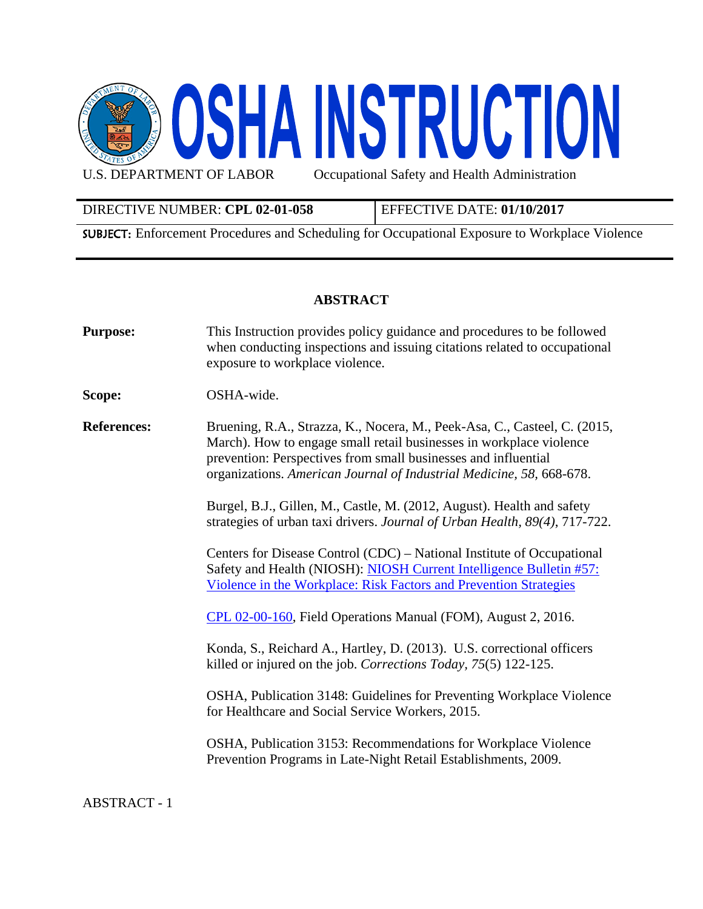

DIRECTIVE NUMBER: **CPL 02-01-058** EFFECTIVE DATE: **01/10/2017**

SUBJECT: Enforcement Procedures and Scheduling for Occupational Exposure to Workplace Violence

## **ABSTRACT**

**Purpose:** This Instruction provides policy guidance and procedures to be followed when conducting inspections and issuing citations related to occupational exposure to workplace violence.

**Scope:** OSHA-wide.

**References:** Bruening, R.A., Strazza, K., Nocera, M., Peek-Asa, C., Casteel, C. (2015, March). How to engage small retail businesses in workplace violence prevention: Perspectives from small businesses and influential organizations. *American Journal of Industrial Medicine, 58,* 668-678.

> Burgel, B.J., Gillen, M., Castle, M. (2012, August). Health and safety strategies of urban taxi drivers. *Journal of Urban Health, 89(4)*, 717-722.

Centers for Disease Control (CDC) – National Institute of Occupational Safety and Health (NIOSH): [NIOSH Current Intelligence Bulletin #57:](http://www.cdc.gov/niosh/docs/96-100/risk.html)  [Violence in the Workplace: Risk Factors and Prevention Strategies](http://www.cdc.gov/niosh/docs/96-100/risk.html)

[CPL 02-00-16](https://www.osha.gov/OshDoc/Directive_pdf/CPL_02-00-159.pdf)0, Field Operations Manual (FOM), August 2, 2016.

Konda, S., Reichard A., Hartley, D. (2013). U.S. correctional officers killed or injured on the job. *Corrections Today, 75*(5) 122-125.

OSHA, Publication 3148: Guidelines for Preventing Workplace Violence for Healthcare and Social Service Workers, 2015.

OSHA, Publication 3153: Recommendations for Workplace Violence Prevention Programs in Late-Night Retail Establishments, 2009.

ABSTRACT - 1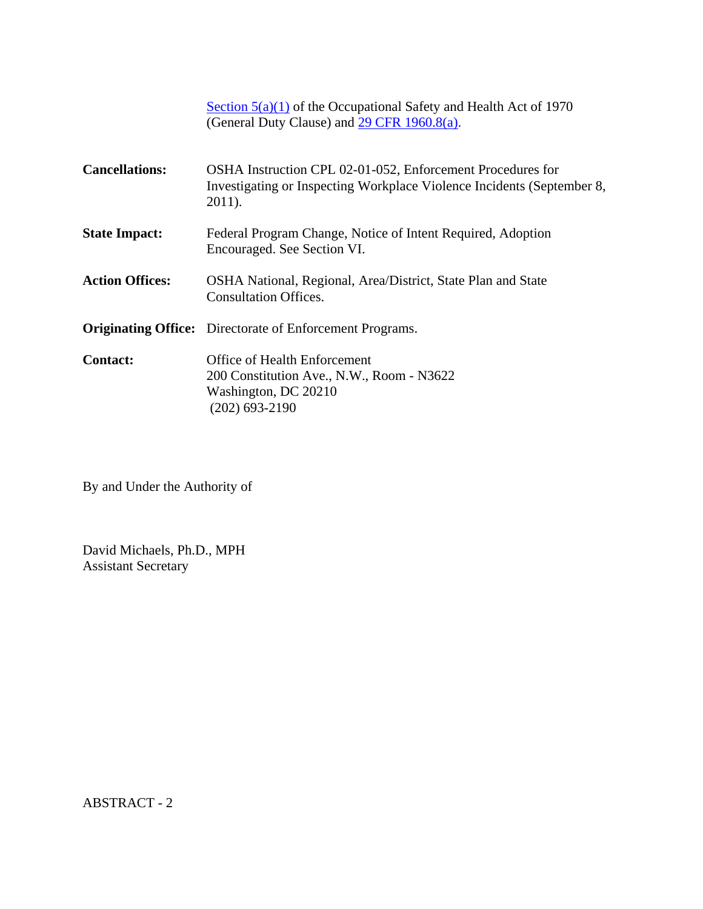|                        | Section $5(a)(1)$ of the Occupational Safety and Health Act of 1970<br>(General Duty Clause) and 29 CFR 1960.8(a).                             |
|------------------------|------------------------------------------------------------------------------------------------------------------------------------------------|
| <b>Cancellations:</b>  | OSHA Instruction CPL 02-01-052, Enforcement Procedures for<br>Investigating or Inspecting Workplace Violence Incidents (September 8,<br>2011). |
| <b>State Impact:</b>   | Federal Program Change, Notice of Intent Required, Adoption<br>Encouraged. See Section VI.                                                     |
| <b>Action Offices:</b> | OSHA National, Regional, Area/District, State Plan and State<br><b>Consultation Offices.</b>                                                   |
|                        | <b>Originating Office:</b> Directorate of Enforcement Programs.                                                                                |
| <b>Contact:</b>        | Office of Health Enforcement<br>200 Constitution Ave., N.W., Room - N3622<br>Washington, DC 20210<br>$(202)$ 693-2190                          |

By and Under the Authority of

David Michaels, Ph.D., MPH Assistant Secretary

ABSTRACT - 2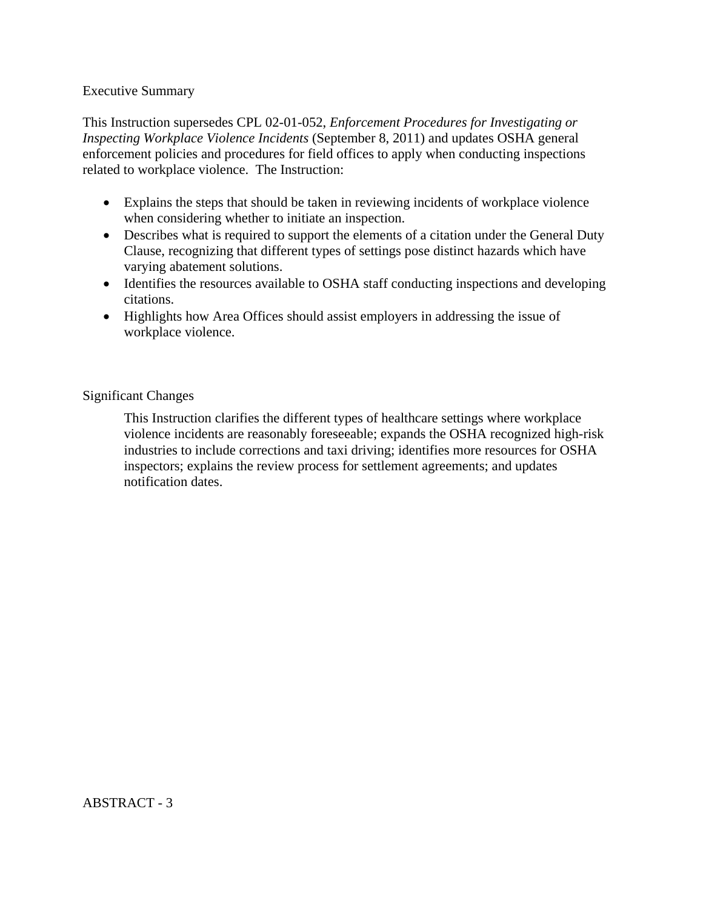#### Executive Summary

This Instruction supersedes CPL 02-01-052, *Enforcement Procedures for Investigating or Inspecting Workplace Violence Incidents* (September 8, 2011) and updates OSHA general enforcement policies and procedures for field offices to apply when conducting inspections related to workplace violence. The Instruction:

- Explains the steps that should be taken in reviewing incidents of workplace violence when considering whether to initiate an inspection.
- Describes what is required to support the elements of a citation under the General Duty Clause, recognizing that different types of settings pose distinct hazards which have varying abatement solutions.
- Identifies the resources available to OSHA staff conducting inspections and developing citations.
- Highlights how Area Offices should assist employers in addressing the issue of workplace violence.

## Significant Changes

This Instruction clarifies the different types of healthcare settings where workplace violence incidents are reasonably foreseeable; expands the OSHA recognized high-risk industries to include corrections and taxi driving; identifies more resources for OSHA inspectors; explains the review process for settlement agreements; and updates notification dates.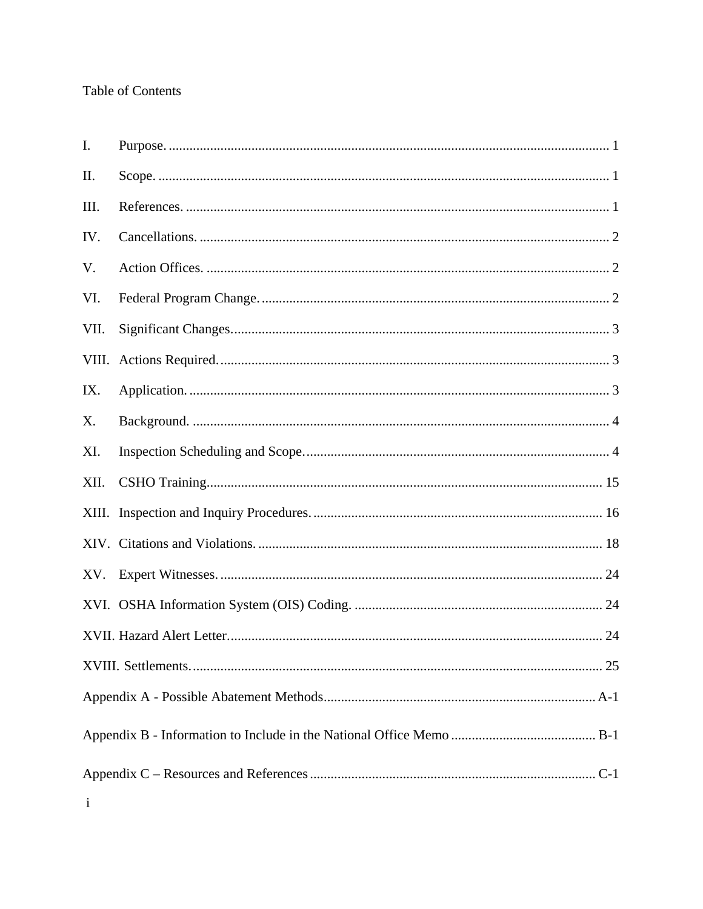# Table of Contents

| I.   |  |
|------|--|
| Π.   |  |
| Ш.   |  |
| IV.  |  |
| V.   |  |
| VI.  |  |
| VII. |  |
|      |  |
| IX.  |  |
| X.   |  |
| XI.  |  |
| XII. |  |
|      |  |
|      |  |
|      |  |
|      |  |
|      |  |
|      |  |
|      |  |
|      |  |
|      |  |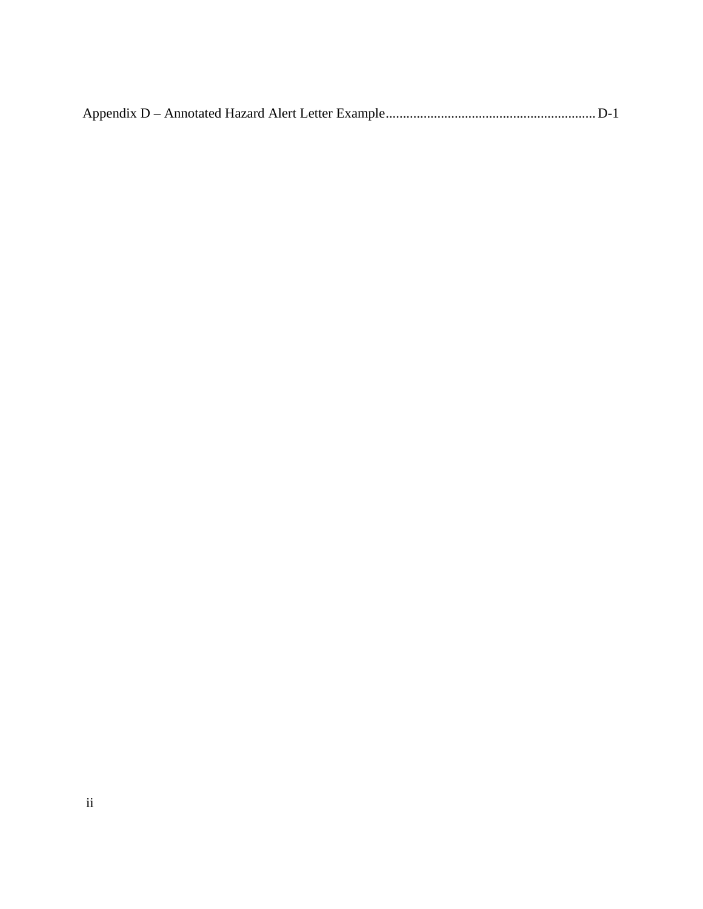|--|--|--|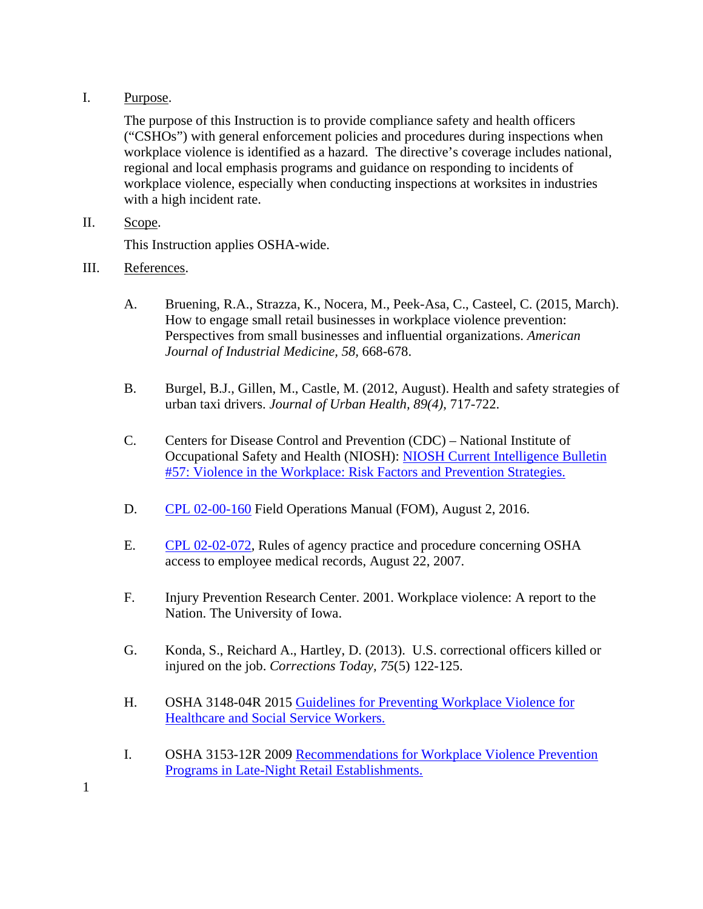# <span id="page-5-0"></span>I. Purpose.

The purpose of this Instruction is to provide compliance safety and health officers ("CSHOs") with general enforcement policies and procedures during inspections when workplace violence is identified as a hazard. The directive's coverage includes national, regional and local emphasis programs and guidance on responding to incidents of workplace violence, especially when conducting inspections at worksites in industries with a high incident rate.

<span id="page-5-1"></span>II. Scope.

This Instruction applies OSHA-wide.

- <span id="page-5-2"></span>III. References.
	- A. Bruening, R.A., Strazza, K., Nocera, M., Peek-Asa, C., Casteel, C. (2015, March). How to engage small retail businesses in workplace violence prevention: Perspectives from small businesses and influential organizations. *American Journal of Industrial Medicine, 58,* 668-678.
	- B. Burgel, B.J., Gillen, M., Castle, M. (2012, August). Health and safety strategies of urban taxi drivers. *Journal of Urban Health, 89(4)*, 717-722.
	- C. Centers for Disease Control and Prevention (CDC) National Institute of Occupational Safety and Health (NIOSH): [NIOSH Current Intelligence Bulletin](http://www.cdc.gov/niosh/docs/96-100/risk.html)  [#57: Violence in the Workplace: Risk Factors and Prevention Strategies.](http://www.cdc.gov/niosh/docs/96-100/risk.html)
	- D. [CPL 02-00-16](https://www.osha.gov/OshDoc/Directive_pdf/CPL_02-00-159.pdf)0 Field Operations Manual (FOM), August 2, 2016.
	- E. [CPL 02-02-072,](https://www.osha.gov/pls/oshaweb/owadisp.show_document?p_table=DIRECTIVES&p_id=3669) Rules of agency practice and procedure concerning OSHA access to employee medical records, August 22, 2007.
	- F. Injury Prevention Research Center. 2001. Workplace violence: A report to the Nation. The University of Iowa.
	- G. Konda, S., Reichard A., Hartley, D. (2013). U.S. correctional officers killed or injured on the job. *Corrections Today, 75*(5) 122-125.
	- H. OSHA 3148-04R 2015 [Guidelines for Preventing Workplace Violence for](https://www.osha.gov/Publications/osha3148.pdf)  [Healthcare and Social Service Workers.](https://www.osha.gov/Publications/osha3148.pdf)
	- I. OSHA 3153-12R 2009 [Recommendations for Workplace Violence Prevention](https://www.osha.gov/Publications/osha3153.pdf)  [Programs in Late-Night Retail Establishments.](https://www.osha.gov/Publications/osha3153.pdf)

1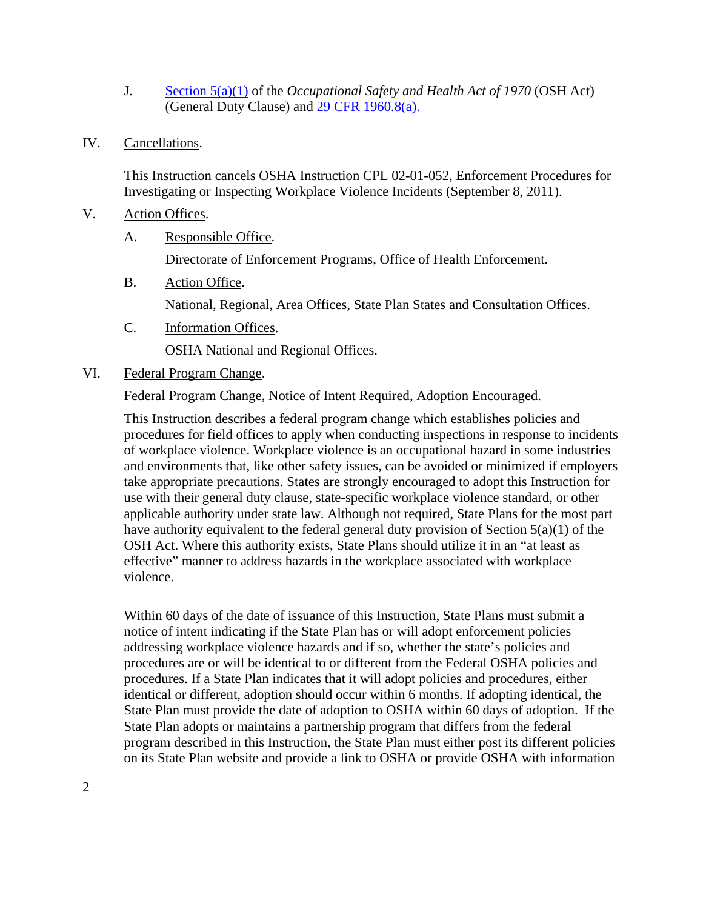- J. [Section 5\(a\)\(1\)](https://www.osha.gov/pls/oshaweb/owadisp.show_document?p_table=OSHACT&p_id=3359) of the *Occupational Safety and Health Act of 1970* (OSH Act) (General Duty Clause) and [29 CFR 1960.8\(a\).](https://www.osha.gov/pls/oshaweb/owadisp.show_document?p_table=STANDARDS&p_id=11267)
- <span id="page-6-0"></span>IV. Cancellations.

This Instruction cancels OSHA Instruction CPL 02-01-052, Enforcement Procedures for Investigating or Inspecting Workplace Violence Incidents (September 8, 2011).

- <span id="page-6-1"></span>V. Action Offices.
	- A. Responsible Office.

Directorate of Enforcement Programs, Office of Health Enforcement.

B. Action Office.

National, Regional, Area Offices, State Plan States and Consultation Offices.

C. Information Offices.

OSHA National and Regional Offices.

<span id="page-6-2"></span>VI. Federal Program Change.

Federal Program Change, Notice of Intent Required, Adoption Encouraged.

This Instruction describes a federal program change which establishes policies and procedures for field offices to apply when conducting inspections in response to incidents of workplace violence. Workplace violence is an occupational hazard in some industries and environments that, like other safety issues, can be avoided or minimized if employers take appropriate precautions. States are strongly encouraged to adopt this Instruction for use with their general duty clause, state-specific workplace violence standard, or other applicable authority under state law. Although not required, State Plans for the most part have authority equivalent to the federal general duty provision of Section 5(a)(1) of the OSH Act. Where this authority exists, State Plans should utilize it in an "at least as effective" manner to address hazards in the workplace associated with workplace violence.

Within 60 days of the date of issuance of this Instruction, State Plans must submit a notice of intent indicating if the State Plan has or will adopt enforcement policies addressing workplace violence hazards and if so, whether the state's policies and procedures are or will be identical to or different from the Federal OSHA policies and procedures. If a State Plan indicates that it will adopt policies and procedures, either identical or different, adoption should occur within 6 months. If adopting identical, the State Plan must provide the date of adoption to OSHA within 60 days of adoption. If the State Plan adopts or maintains a partnership program that differs from the federal program described in this Instruction, the State Plan must either post its different policies on its State Plan website and provide a link to OSHA or provide OSHA with information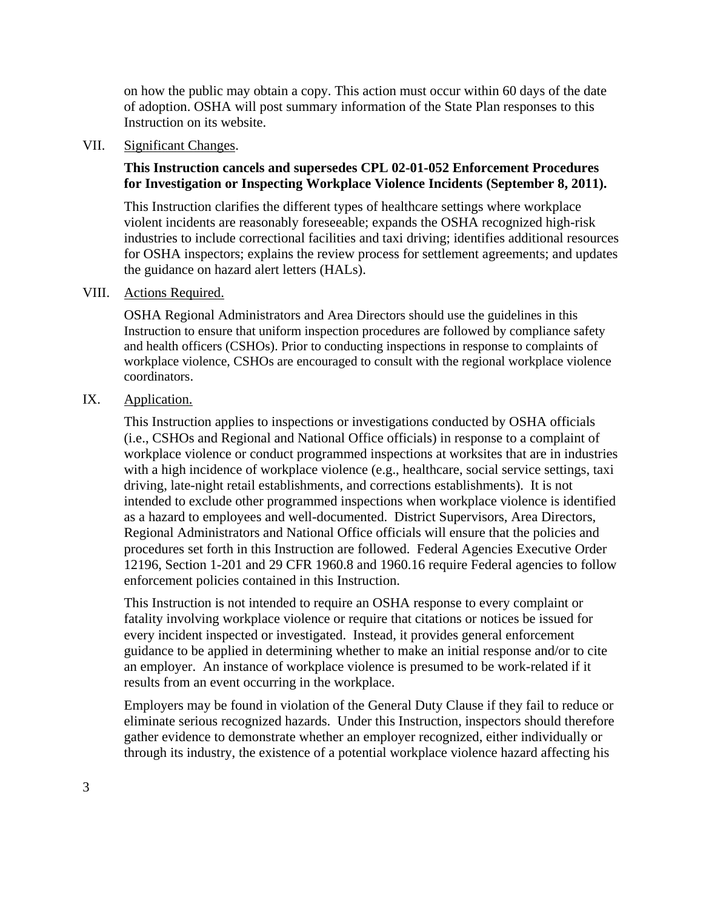on how the public may obtain a copy. This action must occur within 60 days of the date of adoption. OSHA will post summary information of the State Plan responses to this Instruction on its website.

#### <span id="page-7-0"></span>VII. Significant Changes.

# **This Instruction cancels and supersedes CPL 02-01-052 Enforcement Procedures for Investigation or Inspecting Workplace Violence Incidents (September 8, 2011).**

This Instruction clarifies the different types of healthcare settings where workplace violent incidents are reasonably foreseeable; expands the OSHA recognized high-risk industries to include correctional facilities and taxi driving; identifies additional resources for OSHA inspectors; explains the review process for settlement agreements; and updates the guidance on hazard alert letters (HALs).

#### <span id="page-7-2"></span><span id="page-7-1"></span>VIII. Actions Required.

OSHA Regional Administrators and Area Directors should use the guidelines in this Instruction to ensure that uniform inspection procedures are followed by compliance safety and health officers (CSHOs). Prior to conducting inspections in response to complaints of workplace violence, CSHOs are encouraged to consult with the regional workplace violence coordinators.

# IX. Application.

This Instruction applies to inspections or investigations conducted by OSHA officials (i.e., CSHOs and Regional and National Office officials) in response to a complaint of workplace violence or conduct programmed inspections at worksites that are in industries with a high incidence of workplace violence (e.g., healthcare, social service settings, taxi driving, late-night retail establishments, and corrections establishments). It is not intended to exclude other programmed inspections when workplace violence is identified as a hazard to employees and well-documented. District Supervisors, Area Directors, Regional Administrators and National Office officials will ensure that the policies and procedures set forth in this Instruction are followed. Federal Agencies Executive Order 12196, Section 1-201 and 29 CFR 1960.8 and 1960.16 require Federal agencies to follow enforcement policies contained in this Instruction.

This Instruction is not intended to require an OSHA response to every complaint or fatality involving workplace violence or require that citations or notices be issued for every incident inspected or investigated. Instead, it provides general enforcement guidance to be applied in determining whether to make an initial response and/or to cite an employer. An instance of workplace violence is presumed to be work-related if it results from an event occurring in the workplace.

Employers may be found in violation of the General Duty Clause if they fail to reduce or eliminate serious recognized hazards. Under this Instruction, inspectors should therefore gather evidence to demonstrate whether an employer recognized, either individually or through its industry, the existence of a potential workplace violence hazard affecting his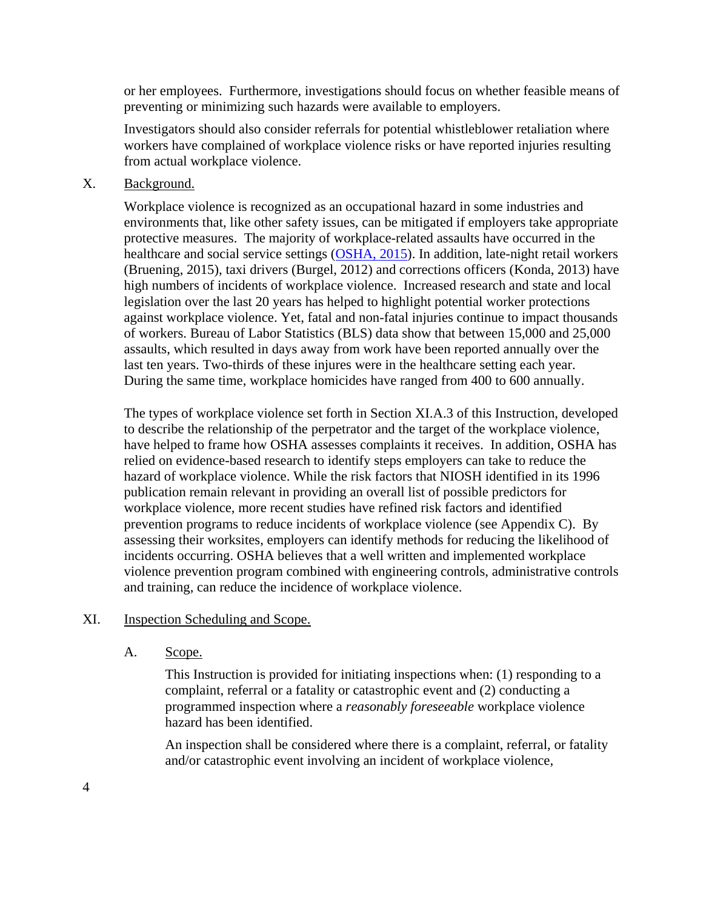or her employees. Furthermore, investigations should focus on whether feasible means of preventing or minimizing such hazards were available to employers.

Investigators should also consider referrals for potential whistleblower retaliation where workers have complained of workplace violence risks or have reported injuries resulting from actual workplace violence.

<span id="page-8-0"></span>X. Background.

Workplace violence is recognized as an occupational hazard in some industries and environments that, like other safety issues, can be mitigated if employers take appropriate protective measures. The majority of workplace-related assaults have occurred in the healthcare and social service settings [\(OSHA, 2015\)](https://www.osha.gov/Publications/osha3148.pdf). In addition, late-night retail workers (Bruening, 2015), taxi drivers (Burgel, 2012) and corrections officers (Konda, 2013) have high numbers of incidents of workplace violence. Increased research and state and local legislation over the last 20 years has helped to highlight potential worker protections against workplace violence. Yet, fatal and non-fatal injuries continue to impact thousands of workers. Bureau of Labor Statistics (BLS) data show that between 15,000 and 25,000 assaults, which resulted in days away from work have been reported annually over the last ten years. Two-thirds of these injures were in the healthcare setting each year. During the same time, workplace homicides have ranged from 400 to 600 annually.

The types of workplace violence set forth in Section XI.A.3 of this Instruction, developed to describe the relationship of the perpetrator and the target of the workplace violence, have helped to frame how OSHA assesses complaints it receives. In addition, OSHA has relied on evidence-based research to identify steps employers can take to reduce the hazard of workplace violence. While the risk factors that NIOSH identified in its 1996 publication remain relevant in providing an overall list of possible predictors for workplace violence, more recent studies have refined risk factors and identified prevention programs to reduce incidents of workplace violence (see Appendix C). By assessing their worksites, employers can identify methods for reducing the likelihood of incidents occurring. OSHA believes that a well written and implemented workplace violence prevention program combined with engineering controls, administrative controls and training, can reduce the incidence of workplace violence.

# <span id="page-8-1"></span>XI. Inspection Scheduling and Scope.

A. Scope.

This Instruction is provided for initiating inspections when: (1) responding to a complaint, referral or a fatality or catastrophic event and (2) conducting a programmed inspection where a *reasonably foreseeable* workplace violence hazard has been identified.

An inspection shall be considered where there is a complaint, referral, or fatality and/or catastrophic event involving an incident of workplace violence,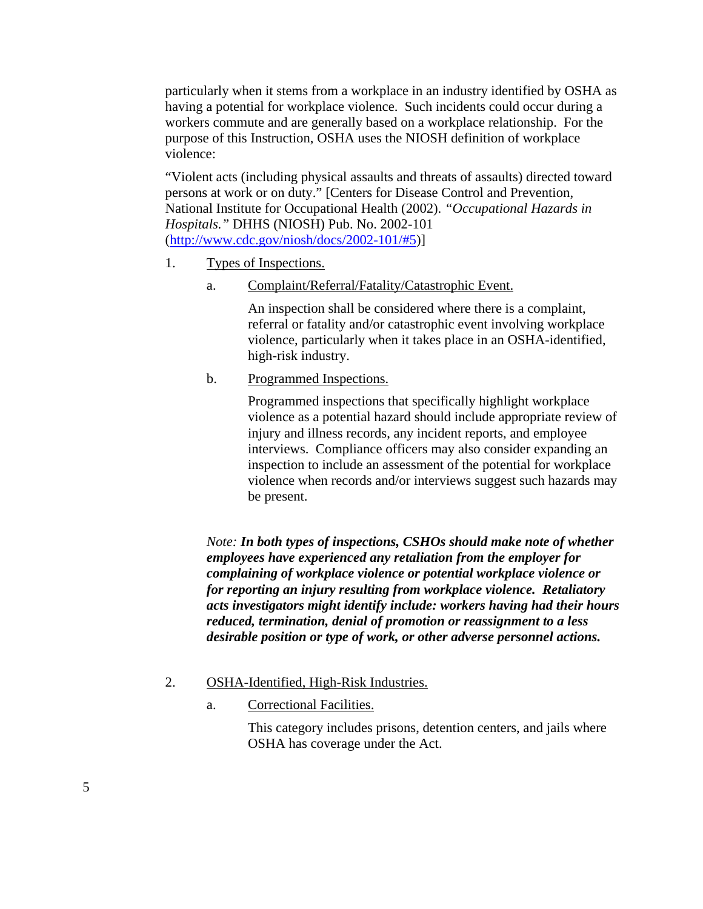particularly when it stems from a workplace in an industry identified by OSHA as having a potential for workplace violence. Such incidents could occur during a workers commute and are generally based on a workplace relationship. For the purpose of this Instruction, OSHA uses the NIOSH definition of workplace violence:

"Violent acts (including physical assaults and threats of assaults) directed toward persons at work or on duty." [Centers for Disease Control and Prevention, National Institute for Occupational Health (2002). *"Occupational Hazards in Hospitals."* DHHS (NIOSH) Pub. No. 2002-101 [\(http://www.cdc.gov/niosh/docs/2002-101/#5\)](http://www.cdc.gov/niosh/docs/2002-101/#5)]

- 1. Types of Inspections.
	- a. Complaint/Referral/Fatality/Catastrophic Event.

An inspection shall be considered where there is a complaint, referral or fatality and/or catastrophic event involving workplace violence, particularly when it takes place in an OSHA-identified, high-risk industry.

b. Programmed Inspections.

Programmed inspections that specifically highlight workplace violence as a potential hazard should include appropriate review of injury and illness records, any incident reports, and employee interviews. Compliance officers may also consider expanding an inspection to include an assessment of the potential for workplace violence when records and/or interviews suggest such hazards may be present.

*Note: In both types of inspections, CSHOs should make note of whether employees have experienced any retaliation from the employer for complaining of workplace violence or potential workplace violence or for reporting an injury resulting from workplace violence. Retaliatory acts investigators might identify include: workers having had their hours reduced, termination, denial of promotion or reassignment to a less desirable position or type of work, or other adverse personnel actions.*

#### 2. OSHA-Identified, High-Risk Industries.

a. Correctional Facilities.

This category includes prisons, detention centers, and jails where OSHA has coverage under the Act.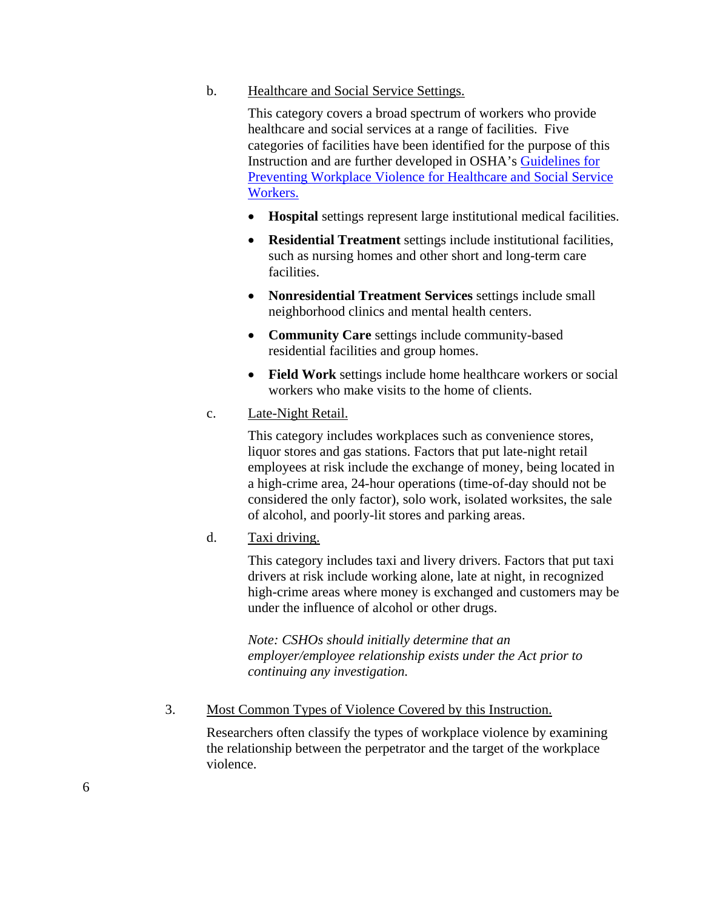b. Healthcare and Social Service Settings.

This category covers a broad spectrum of workers who provide healthcare and social services at a range of facilities. Five categories of facilities have been identified for the purpose of this Instruction and are further developed in OSHA's [Guidelines for](https://www.osha.gov/Publications/osha3148.pdf)  [Preventing Workplace Violence for Healthcare and Social Service](https://www.osha.gov/Publications/osha3148.pdf)  [Workers.](https://www.osha.gov/Publications/osha3148.pdf) 

- **Hospital** settings represent large institutional medical facilities.
- **Residential Treatment** settings include institutional facilities, such as nursing homes and other short and long-term care facilities.
- **Nonresidential Treatment Services** settings include small neighborhood clinics and mental health centers.
- **Community Care** settings include community-based residential facilities and group homes.
- **Field Work** settings include home healthcare workers or social workers who make visits to the home of clients.
- c. Late-Night Retail.

This category includes workplaces such as convenience stores, liquor stores and gas stations. Factors that put late-night retail employees at risk include the exchange of money, being located in a high-crime area, 24-hour operations (time-of-day should not be considered the only factor), solo work, isolated worksites, the sale of alcohol, and poorly-lit stores and parking areas.

d. Taxi driving.

This category includes taxi and livery drivers. Factors that put taxi drivers at risk include working alone, late at night, in recognized high-crime areas where money is exchanged and customers may be under the influence of alcohol or other drugs.

*Note: CSHOs should initially determine that an employer/employee relationship exists under the Act prior to continuing any investigation.*

3. Most Common Types of Violence Covered by this Instruction.

Researchers often classify the types of workplace violence by examining the relationship between the perpetrator and the target of the workplace violence.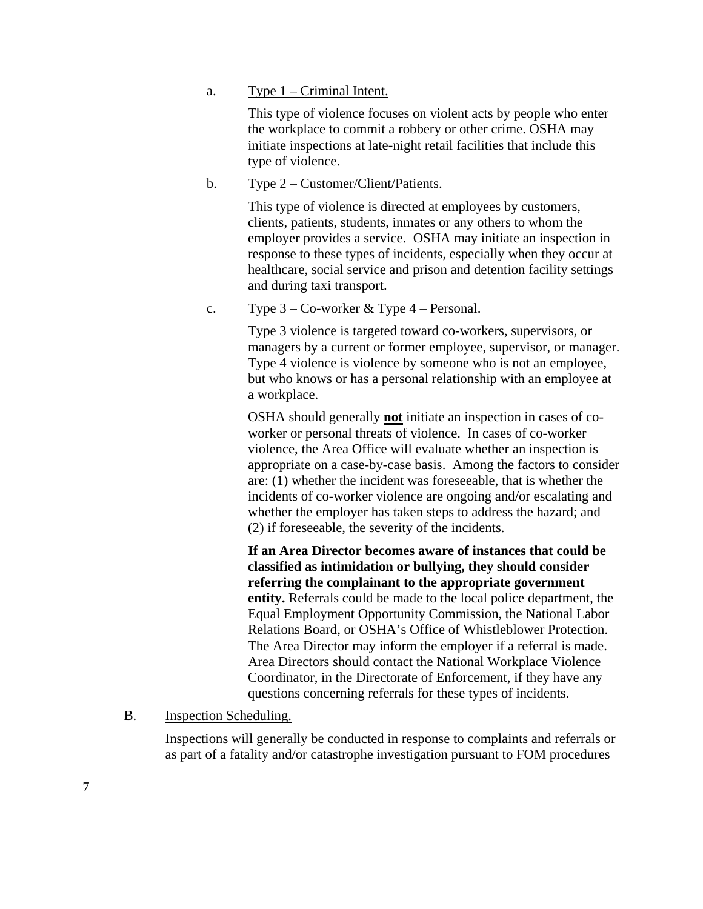a. Type 1 – Criminal Intent.

This type of violence focuses on violent acts by people who enter the workplace to commit a robbery or other crime. OSHA may initiate inspections at late-night retail facilities that include this type of violence.

b. Type 2 – Customer/Client/Patients.

This type of violence is directed at employees by customers, clients, patients, students, inmates or any others to whom the employer provides a service. OSHA may initiate an inspection in response to these types of incidents, especially when they occur at healthcare, social service and prison and detention facility settings and during taxi transport.

c. Type  $3 - \text{Co-worker} \& \text{Type } 4 - \text{Personal.}$ 

Type 3 violence is targeted toward co-workers, supervisors, or managers by a current or former employee, supervisor, or manager. Type 4 violence is violence by someone who is not an employee, but who knows or has a personal relationship with an employee at a workplace.

OSHA should generally **not** initiate an inspection in cases of coworker or personal threats of violence. In cases of co-worker violence, the Area Office will evaluate whether an inspection is appropriate on a case-by-case basis. Among the factors to consider are: (1) whether the incident was foreseeable, that is whether the incidents of co-worker violence are ongoing and/or escalating and whether the employer has taken steps to address the hazard; and (2) if foreseeable, the severity of the incidents.

**If an Area Director becomes aware of instances that could be classified as intimidation or bullying, they should consider referring the complainant to the appropriate government entity.** Referrals could be made to the local police department, the Equal Employment Opportunity Commission, the National Labor Relations Board, or OSHA's Office of Whistleblower Protection. The Area Director may inform the employer if a referral is made. Area Directors should contact the National Workplace Violence Coordinator, in the Directorate of Enforcement, if they have any questions concerning referrals for these types of incidents.

#### B. Inspection Scheduling.

Inspections will generally be conducted in response to complaints and referrals or as part of a fatality and/or catastrophe investigation pursuant to FOM procedures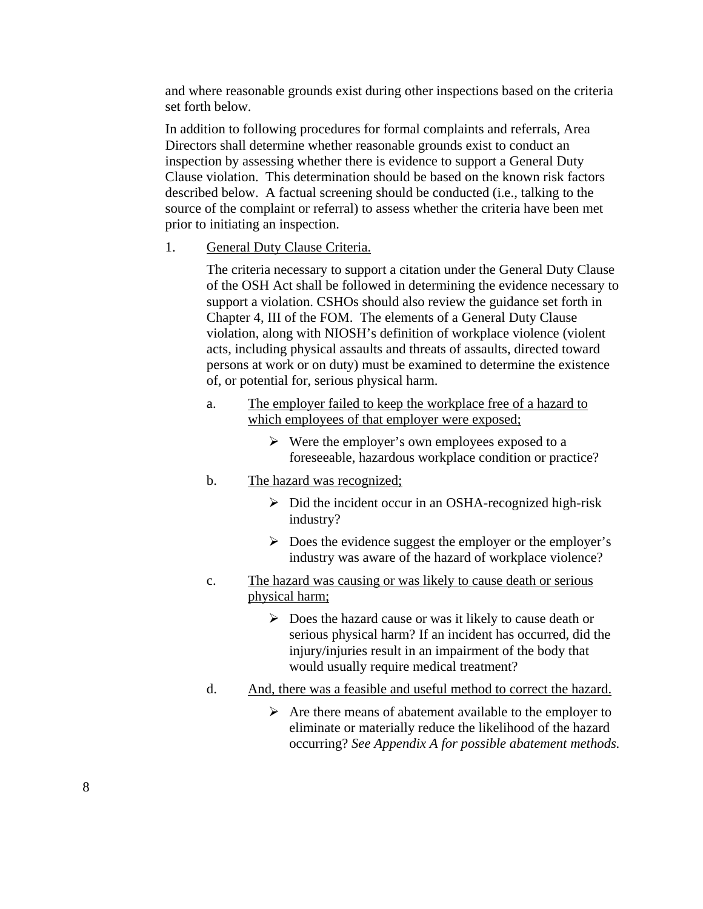and where reasonable grounds exist during other inspections based on the criteria set forth below.

In addition to following procedures for formal complaints and referrals, Area Directors shall determine whether reasonable grounds exist to conduct an inspection by assessing whether there is evidence to support a General Duty Clause violation. This determination should be based on the known risk factors described below. A factual screening should be conducted (i.e., talking to the source of the complaint or referral) to assess whether the criteria have been met prior to initiating an inspection.

1. General Duty Clause Criteria.

The criteria necessary to support a citation under the General Duty Clause of the OSH Act shall be followed in determining the evidence necessary to support a violation. CSHOs should also review the guidance set forth in Chapter 4, III of the FOM. The elements of a General Duty Clause violation, along with NIOSH's definition of workplace violence (violent acts, including physical assaults and threats of assaults, directed toward persons at work or on duty) must be examined to determine the existence of, or potential for, serious physical harm.

- a. The employer failed to keep the workplace free of a hazard to which employees of that employer were exposed;
	- $\triangleright$  Were the employer's own employees exposed to a foreseeable, hazardous workplace condition or practice?
- b. The hazard was recognized;
	- $\triangleright$  Did the incident occur in an OSHA-recognized high-risk industry?
	- $\triangleright$  Does the evidence suggest the employer or the employer's industry was aware of the hazard of workplace violence?
- c. The hazard was causing or was likely to cause death or serious physical harm;
	- $\triangleright$  Does the hazard cause or was it likely to cause death or serious physical harm? If an incident has occurred, did the injury/injuries result in an impairment of the body that would usually require medical treatment?
- d. And, there was a feasible and useful method to correct the hazard.
	- $\triangleright$  Are there means of abatement available to the employer to eliminate or materially reduce the likelihood of the hazard occurring? *See Appendix A for possible abatement methods.*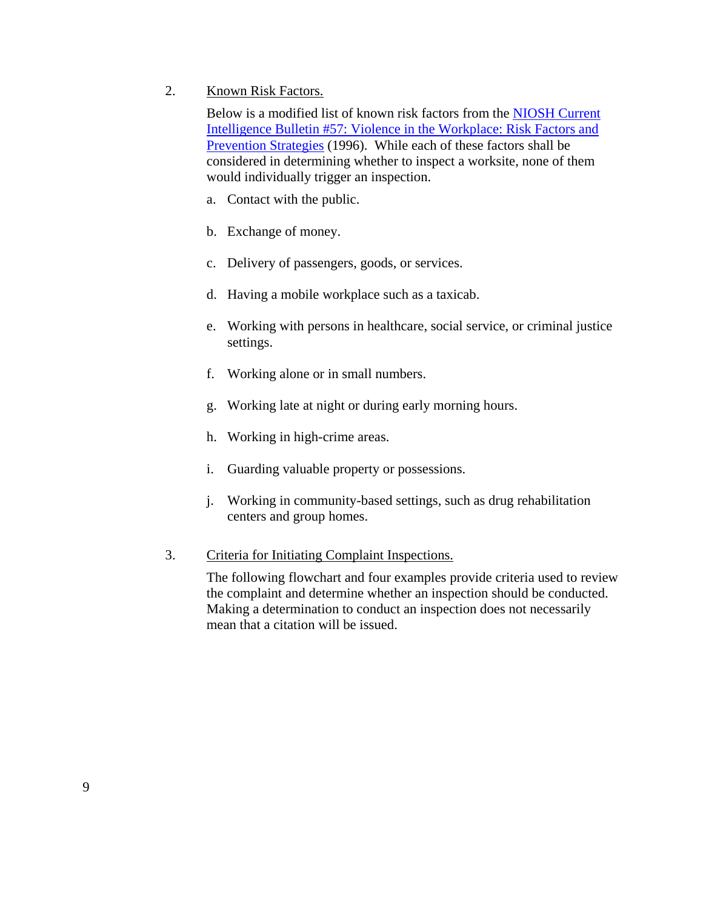2. Known Risk Factors.

Below is a modified list of known risk factors from the [NIOSH Current](http://www.cdc.gov/niosh/docs/96-100/risk.html)  [Intelligence Bulletin #57: Violence in the Workplace: Risk Factors and](http://www.cdc.gov/niosh/docs/96-100/risk.html)  [Prevention Strategies](http://www.cdc.gov/niosh/docs/96-100/risk.html) (1996). While each of these factors shall be considered in determining whether to inspect a worksite, none of them would individually trigger an inspection.

- a. Contact with the public.
- b. Exchange of money.
- c. Delivery of passengers, goods, or services.
- d. Having a mobile workplace such as a taxicab.
- e. Working with persons in healthcare, social service, or criminal justice settings.
- f. Working alone or in small numbers.
- g. Working late at night or during early morning hours.
- h. Working in high-crime areas.
- i. Guarding valuable property or possessions.
- j. Working in community-based settings, such as drug rehabilitation centers and group homes.
- 3. Criteria for Initiating Complaint Inspections.

The following flowchart and four examples provide criteria used to review the complaint and determine whether an inspection should be conducted. Making a determination to conduct an inspection does not necessarily mean that a citation will be issued.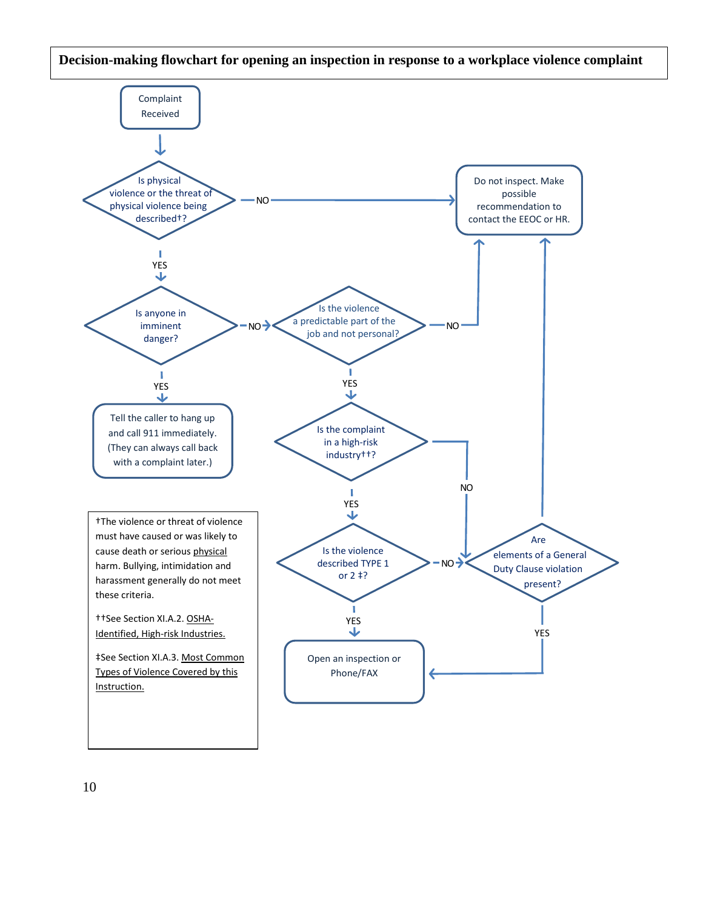**Decision-making flowchart for opening an inspection in response to a workplace violence complaint**

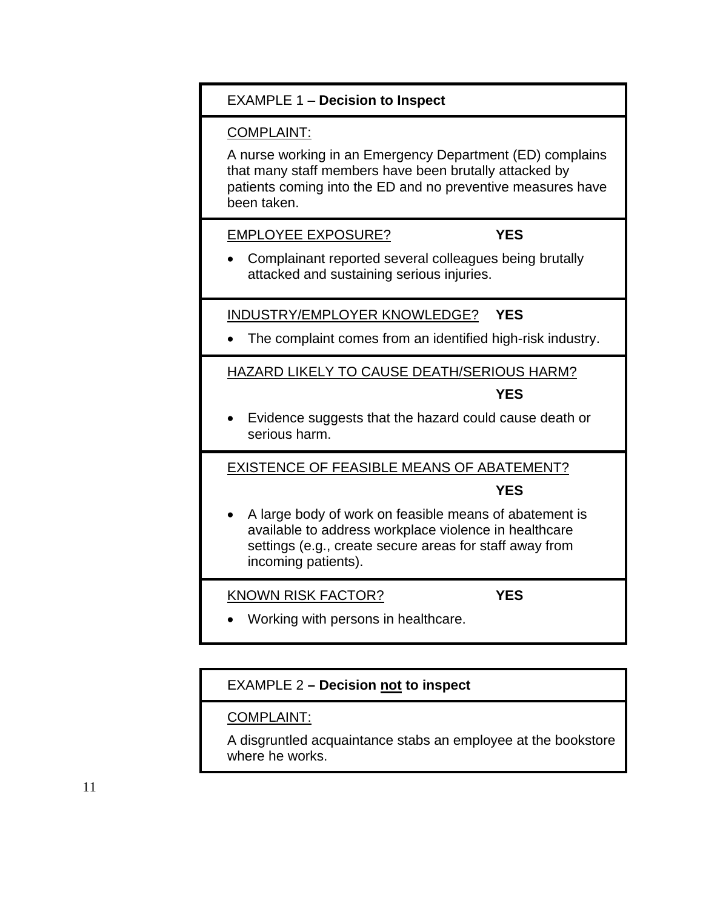# EXAMPLE 1 – **Decision to Inspect**

#### COMPLAINT:

A nurse working in an Emergency Department (ED) complains that many staff members have been brutally attacked by patients coming into the ED and no preventive measures have been taken.

#### EMPLOYEE EXPOSURE? **YES**

• Complainant reported several colleagues being brutally attacked and sustaining serious injuries.

INDUSTRY/EMPLOYER KNOWLEDGE? **YES**

• The complaint comes from an identified high-risk industry.

# HAZARD LIKELY TO CAUSE DEATH/SERIOUS HARM?

## **YES**

• Evidence suggests that the hazard could cause death or serious harm.

EXISTENCE OF FEASIBLE MEANS OF ABATEMENT?

#### **YES**

• A large body of work on feasible means of abatement is available to address workplace violence in healthcare settings (e.g., create secure areas for staff away from incoming patients).

KNOWN RISK FACTOR? **YES**

• Working with persons in healthcare.

# EXAMPLE 2 **– Decision not to inspect**

COMPLAINT:

A disgruntled acquaintance stabs an employee at the bookstore where he works.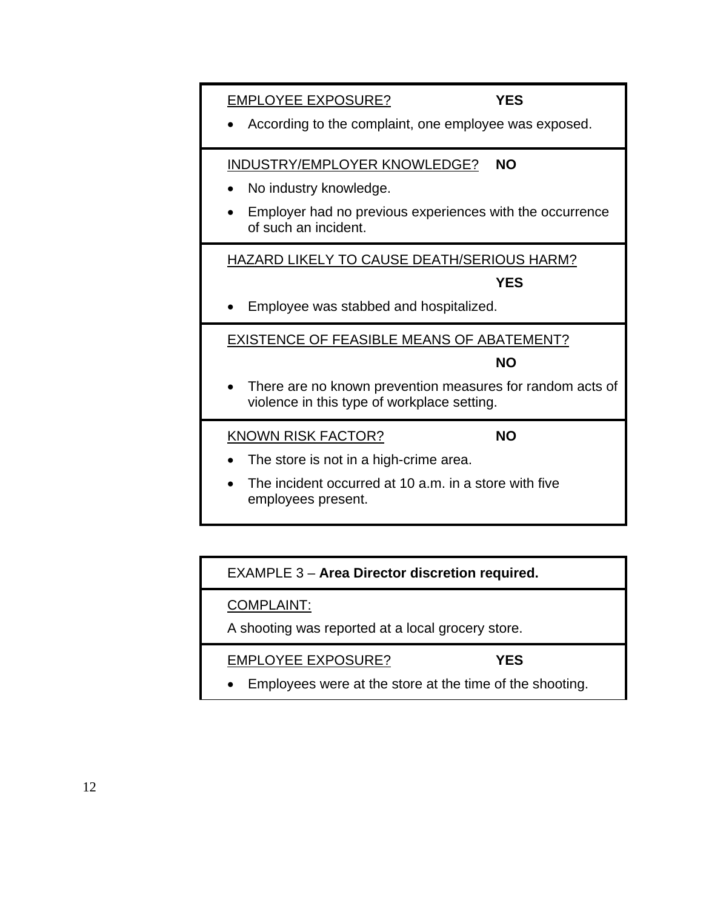| <b>EMPLOYEE EXPOSURE?</b><br><b>YES</b><br>According to the complaint, one employee was exposed.                                                                   |
|--------------------------------------------------------------------------------------------------------------------------------------------------------------------|
| INDUSTRY/EMPLOYER KNOWLEDGE?<br><b>NO</b><br>No industry knowledge.<br>Employer had no previous experiences with the occurrence<br>of such an incident.            |
| HAZARD LIKELY TO CAUSE DEATH/SERIOUS HARM?<br><b>YES</b><br>Employee was stabbed and hospitalized.                                                                 |
| EXISTENCE OF FEASIBLE MEANS OF ABATEMENT?<br><b>NO</b><br>There are no known prevention measures for random acts of<br>violence in this type of workplace setting. |
| <b>NO</b><br><b>KNOWN RISK FACTOR?</b><br>The store is not in a high-crime area.<br>The incident occurred at 10 a.m. in a store with five<br>employees present.    |

EXAMPLE 3 – **Area Director discretion required.**

COMPLAINT:

A shooting was reported at a local grocery store.

EMPLOYEE EXPOSURE? **YES**

• Employees were at the store at the time of the shooting.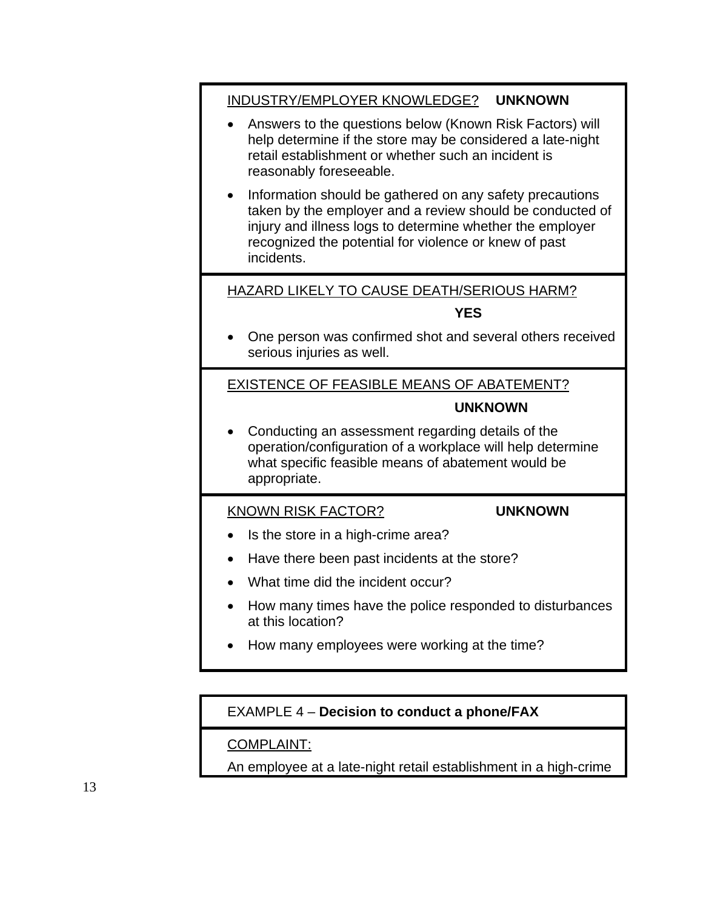# INDUSTRY/EMPLOYER KNOWLEDGE? **UNKNOWN**

- Answers to the questions below (Known Risk Factors) will help determine if the store may be considered a late-night retail establishment or whether such an incident is reasonably foreseeable.
- Information should be gathered on any safety precautions taken by the employer and a review should be conducted of injury and illness logs to determine whether the employer recognized the potential for violence or knew of past incidents.

HAZARD LIKELY TO CAUSE DEATH/SERIOUS HARM?

#### **YES**

• One person was confirmed shot and several others received serious injuries as well.

EXISTENCE OF FEASIBLE MEANS OF ABATEMENT?

#### **UNKNOWN**

• Conducting an assessment regarding details of the operation/configuration of a workplace will help determine what specific feasible means of abatement would be appropriate.

#### KNOWN RISK FACTOR? **UNKNOWN**

- Is the store in a high-crime area?
- Have there been past incidents at the store?
- What time did the incident occur?
- How many times have the police responded to disturbances at this location?
- How many employees were working at the time?

# EXAMPLE 4 – **Decision to conduct a phone/FAX**

COMPLAINT:

An employee at a late-night retail establishment in a high-crime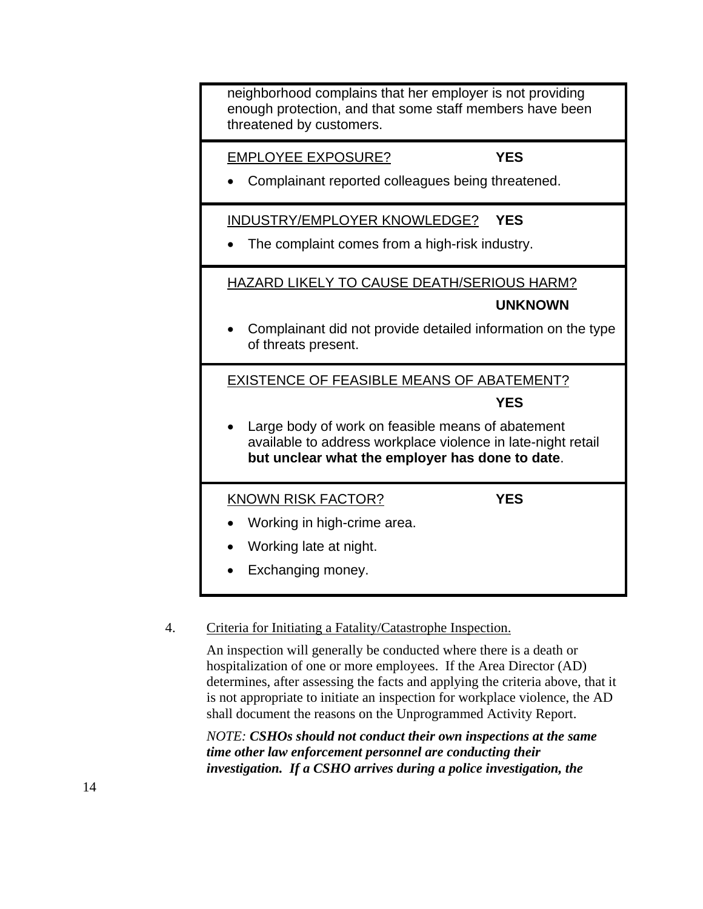| neighborhood complains that her employer is not providing<br>enough protection, and that some staff members have been<br>threatened by customers.                                                                               |  |
|---------------------------------------------------------------------------------------------------------------------------------------------------------------------------------------------------------------------------------|--|
| <b>EMPLOYEE EXPOSURE?</b><br><b>YES</b><br>Complainant reported colleagues being threatened.                                                                                                                                    |  |
| INDUSTRY/EMPLOYER KNOWLEDGE?<br><b>YES</b><br>The complaint comes from a high-risk industry.                                                                                                                                    |  |
| <b>HAZARD LIKELY TO CAUSE DEATH/SERIOUS HARM?</b><br><b>UNKNOWN</b><br>Complainant did not provide detailed information on the type<br>of threats present.                                                                      |  |
| EXISTENCE OF FEASIBLE MEANS OF ABATEMENT?<br><b>YES</b><br>Large body of work on feasible means of abatement<br>available to address workplace violence in late-night retail<br>but unclear what the employer has done to date. |  |
| <b>KNOWN RISK FACTOR?</b><br><b>YES</b><br>Working in high-crime area.<br>Working late at night.<br>Exchanging money.                                                                                                           |  |

4. Criteria for Initiating a Fatality/Catastrophe Inspection.

An inspection will generally be conducted where there is a death or hospitalization of one or more employees. If the Area Director (AD) determines, after assessing the facts and applying the criteria above, that it is not appropriate to initiate an inspection for workplace violence, the AD shall document the reasons on the Unprogrammed Activity Report.

*NOTE: CSHOs should not conduct their own inspections at the same time other law enforcement personnel are conducting their investigation. If a CSHO arrives during a police investigation, the*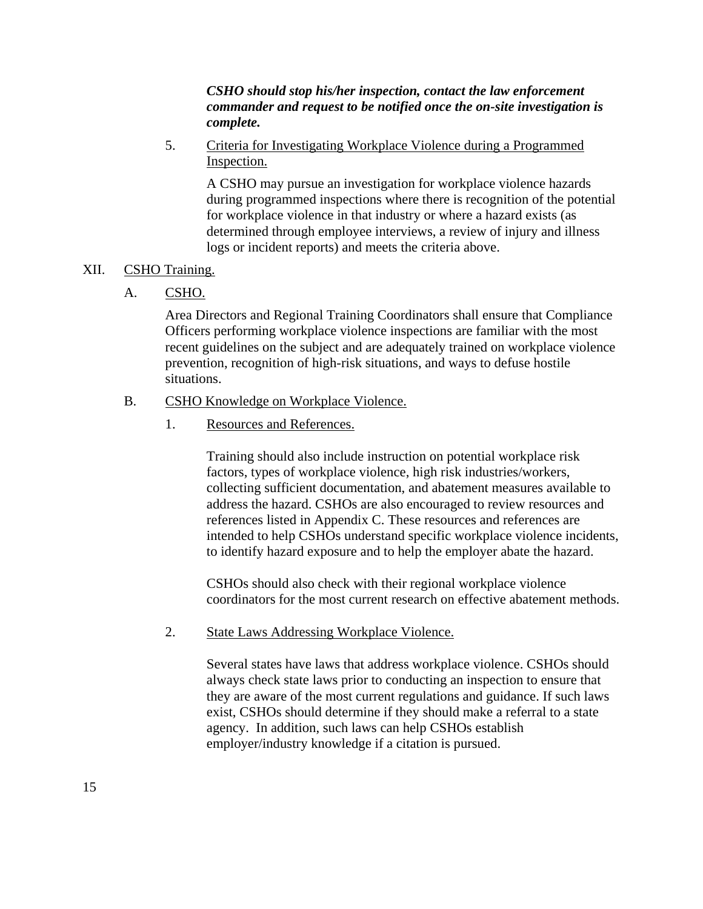# *CSHO should stop his/her inspection, contact the law enforcement commander and request to be notified once the on-site investigation is complete.*

5. Criteria for Investigating Workplace Violence during a Programmed Inspection.

A CSHO may pursue an investigation for workplace violence hazards during programmed inspections where there is recognition of the potential for workplace violence in that industry or where a hazard exists (as determined through employee interviews, a review of injury and illness logs or incident reports) and meets the criteria above.

# <span id="page-19-0"></span>XII. CSHO Training.

A. CSHO.

Area Directors and Regional Training Coordinators shall ensure that Compliance Officers performing workplace violence inspections are familiar with the most recent guidelines on the subject and are adequately trained on workplace violence prevention, recognition of high-risk situations, and ways to defuse hostile situations.

# B. CSHO Knowledge on Workplace Violence.

1. Resources and References.

Training should also include instruction on potential workplace risk factors, types of workplace violence, high risk industries/workers, collecting sufficient documentation, and abatement measures available to address the hazard. CSHOs are also encouraged to review resources and references listed in Appendix C. These resources and references are intended to help CSHOs understand specific workplace violence incidents, to identify hazard exposure and to help the employer abate the hazard.

CSHOs should also check with their regional workplace violence coordinators for the most current research on effective abatement methods.

2. State Laws Addressing Workplace Violence.

Several states have laws that address workplace violence. CSHOs should always check state laws prior to conducting an inspection to ensure that they are aware of the most current regulations and guidance. If such laws exist, CSHOs should determine if they should make a referral to a state agency. In addition, such laws can help CSHOs establish employer/industry knowledge if a citation is pursued.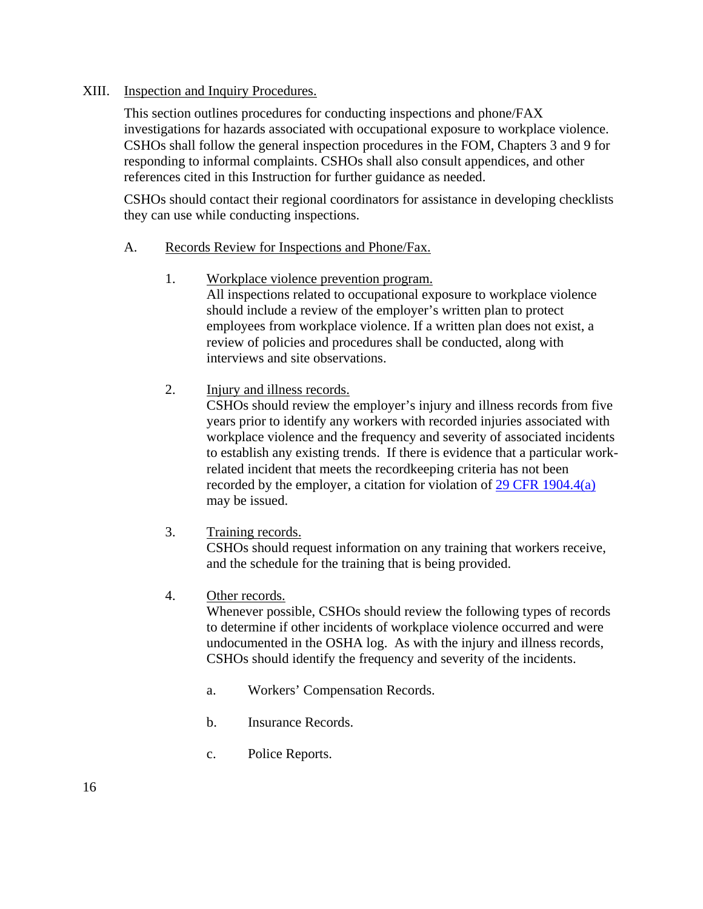### <span id="page-20-0"></span>XIII. Inspection and Inquiry Procedures.

This section outlines procedures for conducting inspections and phone/FAX investigations for hazards associated with occupational exposure to workplace violence. CSHOs shall follow the general inspection procedures in the FOM, Chapters 3 and 9 for responding to informal complaints. CSHOs shall also consult appendices, and other references cited in this Instruction for further guidance as needed.

CSHOs should contact their regional coordinators for assistance in developing checklists they can use while conducting inspections.

## A. Records Review for Inspections and Phone/Fax.

- 1. Workplace violence prevention program. All inspections related to occupational exposure to workplace violence should include a review of the employer's written plan to protect employees from workplace violence. If a written plan does not exist, a review of policies and procedures shall be conducted, along with interviews and site observations.
- 2. Injury and illness records.

CSHOs should review the employer's injury and illness records from five years prior to identify any workers with recorded injuries associated with workplace violence and the frequency and severity of associated incidents to establish any existing trends. If there is evidence that a particular workrelated incident that meets the recordkeeping criteria has not been recorded by the employer, a citation for violation of [29 CFR 1904.4\(a\)](https://www.osha.gov/pls/oshaweb/owadisp.show_document?p_table=STANDARDS&p_id=9635) may be issued.

3. Training records.

CSHOs should request information on any training that workers receive, and the schedule for the training that is being provided.

4. Other records.

Whenever possible, CSHOs should review the following types of records to determine if other incidents of workplace violence occurred and were undocumented in the OSHA log. As with the injury and illness records, CSHOs should identify the frequency and severity of the incidents.

- a. Workers' Compensation Records.
- b. Insurance Records.
- c. Police Reports.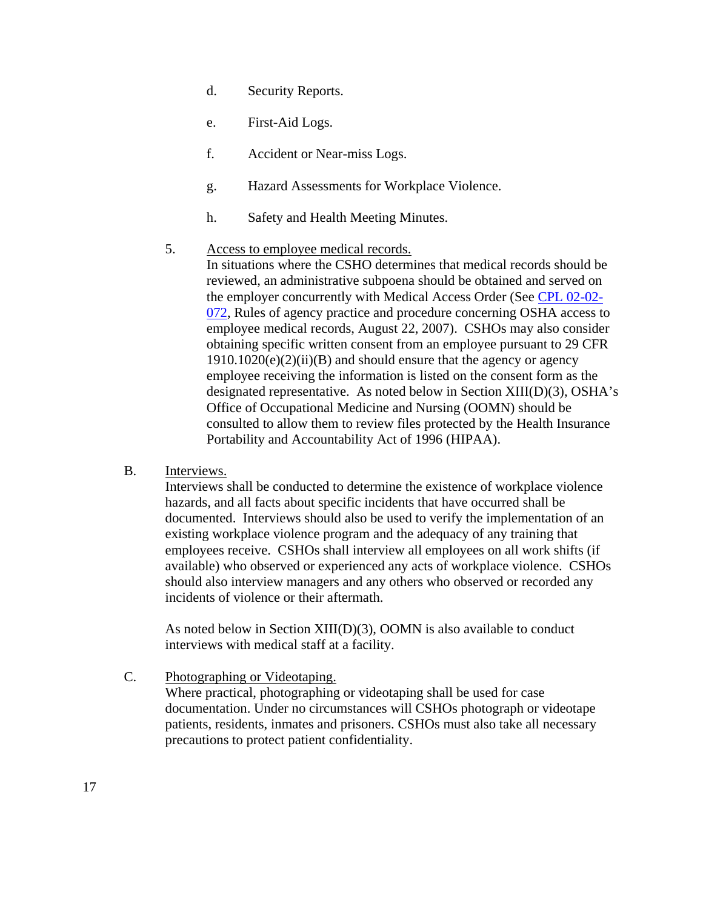- d. Security Reports.
- e. First-Aid Logs.
- f. Accident or Near-miss Logs.
- g. Hazard Assessments for Workplace Violence.
- h. Safety and Health Meeting Minutes.

# 5. Access to employee medical records.

In situations where the CSHO determines that medical records should be reviewed, an administrative subpoena should be obtained and served on the employer concurrently with Medical Access Order (See [CPL 02-02-](https://www.osha.gov/pls/oshaweb/owadisp.show_document?p_table=DIRECTIVES&p_id=3669) [072,](https://www.osha.gov/pls/oshaweb/owadisp.show_document?p_table=DIRECTIVES&p_id=3669) Rules of agency practice and procedure concerning OSHA access to employee medical records, August 22, 2007). CSHOs may also consider obtaining specific written consent from an employee pursuant to 29 CFR  $1910.1020(e)(2)(ii)(B)$  and should ensure that the agency or agency employee receiving the information is listed on the consent form as the designated representative. As noted below in Section XIII(D)(3), OSHA's Office of Occupational Medicine and Nursing (OOMN) should be consulted to allow them to review files protected by the Health Insurance Portability and Accountability Act of 1996 (HIPAA).

B. Interviews.

Interviews shall be conducted to determine the existence of workplace violence hazards, and all facts about specific incidents that have occurred shall be documented. Interviews should also be used to verify the implementation of an existing workplace violence program and the adequacy of any training that employees receive. CSHOs shall interview all employees on all work shifts (if available) who observed or experienced any acts of workplace violence. CSHOs should also interview managers and any others who observed or recorded any incidents of violence or their aftermath.

As noted below in Section XIII(D)(3), OOMN is also available to conduct interviews with medical staff at a facility.

C. Photographing or Videotaping. Where practical, photographing or videotaping shall be used for case documentation. Under no circumstances will CSHOs photograph or videotape patients, residents, inmates and prisoners. CSHOs must also take all necessary precautions to protect patient confidentiality.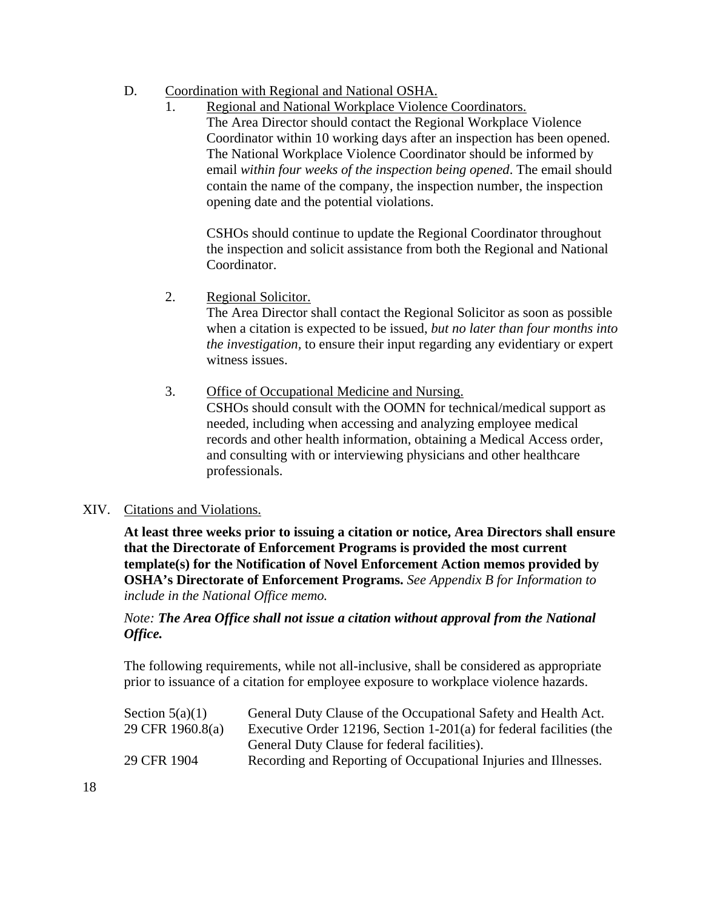# D. Coordination with Regional and National OSHA.

1. Regional and National Workplace Violence Coordinators. The Area Director should contact the Regional Workplace Violence Coordinator within 10 working days after an inspection has been opened. The National Workplace Violence Coordinator should be informed by email *within four weeks of the inspection being opened*. The email should contain the name of the company, the inspection number, the inspection opening date and the potential violations.

CSHOs should continue to update the Regional Coordinator throughout the inspection and solicit assistance from both the Regional and National Coordinator.

2. Regional Solicitor.

The Area Director shall contact the Regional Solicitor as soon as possible when a citation is expected to be issued, *but no later than four months into the investigation,* to ensure their input regarding any evidentiary or expert witness issues.

3. Office of Occupational Medicine and Nursing. CSHOs should consult with the OOMN for technical/medical support as needed, including when accessing and analyzing employee medical records and other health information, obtaining a Medical Access order, and consulting with or interviewing physicians and other healthcare professionals.

# <span id="page-22-0"></span>XIV. Citations and Violations.

**At least three weeks prior to issuing a citation or notice, Area Directors shall ensure that the Directorate of Enforcement Programs is provided the most current template(s) for the Notification of Novel Enforcement Action memos provided by OSHA's Directorate of Enforcement Programs.** *See Appendix B for Information to include in the National Office memo.*

# *Note: The Area Office shall not issue a citation without approval from the National Office.*

The following requirements, while not all-inclusive, shall be considered as appropriate prior to issuance of a citation for employee exposure to workplace violence hazards.

| Section $5(a)(1)$ | General Duty Clause of the Occupational Safety and Health Act.      |
|-------------------|---------------------------------------------------------------------|
| 29 CFR 1960.8(a)  | Executive Order 12196, Section 1-201(a) for federal facilities (the |
|                   | General Duty Clause for federal facilities).                        |
| 29 CFR 1904       | Recording and Reporting of Occupational Injuries and Illnesses.     |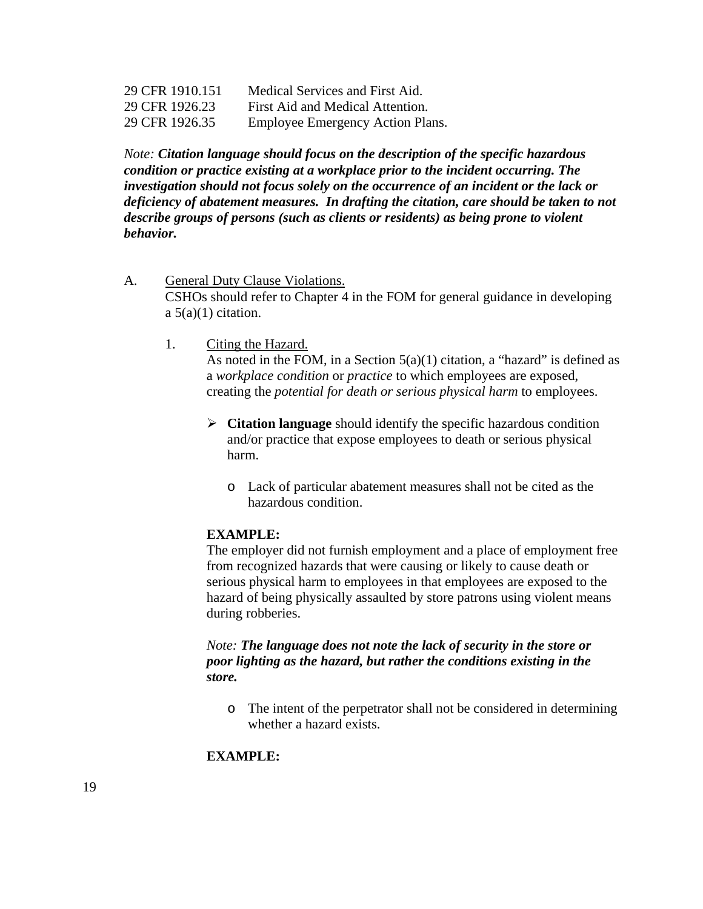| 29 CFR 1910.151 | Medical Services and First Aid.         |
|-----------------|-----------------------------------------|
| 29 CFR 1926.23  | First Aid and Medical Attention.        |
| 29 CFR 1926.35  | <b>Employee Emergency Action Plans.</b> |

*Note: Citation language should focus on the description of the specific hazardous condition or practice existing at a workplace prior to the incident occurring. The investigation should not focus solely on the occurrence of an incident or the lack or deficiency of abatement measures. In drafting the citation, care should be taken to not describe groups of persons (such as clients or residents) as being prone to violent behavior.*

- A. General Duty Clause Violations. CSHOs should refer to Chapter 4 in the FOM for general guidance in developing  $a 5(a)(1)$  citation.
	- 1. Citing the Hazard.

As noted in the FOM, in a Section  $5(a)(1)$  citation, a "hazard" is defined as a *workplace condition* or *practice* to which employees are exposed, creating the *potential for death or serious physical harm* to employees.

- **Citation language** should identify the specific hazardous condition and/or practice that expose employees to death or serious physical harm.
	- o Lack of particular abatement measures shall not be cited as the hazardous condition.

#### **EXAMPLE:**

The employer did not furnish employment and a place of employment free from recognized hazards that were causing or likely to cause death or serious physical harm to employees in that employees are exposed to the hazard of being physically assaulted by store patrons using violent means during robberies.

#### *Note: The language does not note the lack of security in the store or poor lighting as the hazard, but rather the conditions existing in the store.*

o The intent of the perpetrator shall not be considered in determining whether a hazard exists.

#### **EXAMPLE:**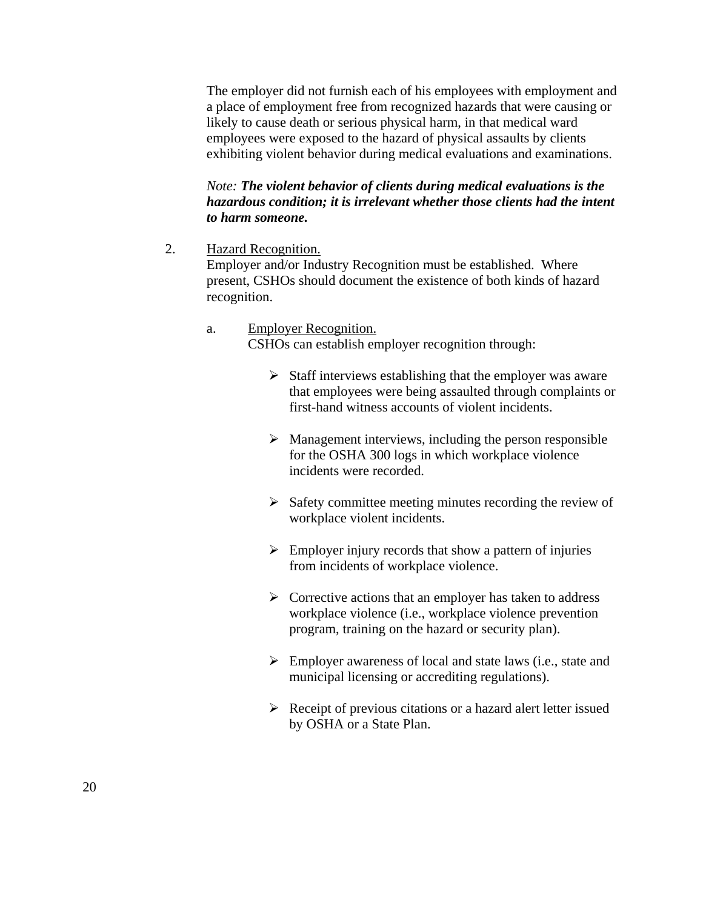The employer did not furnish each of his employees with employment and a place of employment free from recognized hazards that were causing or likely to cause death or serious physical harm, in that medical ward employees were exposed to the hazard of physical assaults by clients exhibiting violent behavior during medical evaluations and examinations.

*Note: The violent behavior of clients during medical evaluations is the hazardous condition; it is irrelevant whether those clients had the intent to harm someone.*

2. Hazard Recognition.

Employer and/or Industry Recognition must be established. Where present, CSHOs should document the existence of both kinds of hazard recognition.

- a. Employer Recognition. CSHOs can establish employer recognition through:
	- $\triangleright$  Staff interviews establishing that the employer was aware that employees were being assaulted through complaints or first-hand witness accounts of violent incidents.
	- $\triangleright$  Management interviews, including the person responsible for the OSHA 300 logs in which workplace violence incidents were recorded.
	- $\triangleright$  Safety committee meeting minutes recording the review of workplace violent incidents.
	- $\triangleright$  Employer injury records that show a pattern of injuries from incidents of workplace violence.
	- $\triangleright$  Corrective actions that an employer has taken to address workplace violence (i.e., workplace violence prevention program, training on the hazard or security plan).
	- $\triangleright$  Employer awareness of local and state laws (i.e., state and municipal licensing or accrediting regulations).
	- Receipt of previous citations or a hazard alert letter issued by OSHA or a State Plan.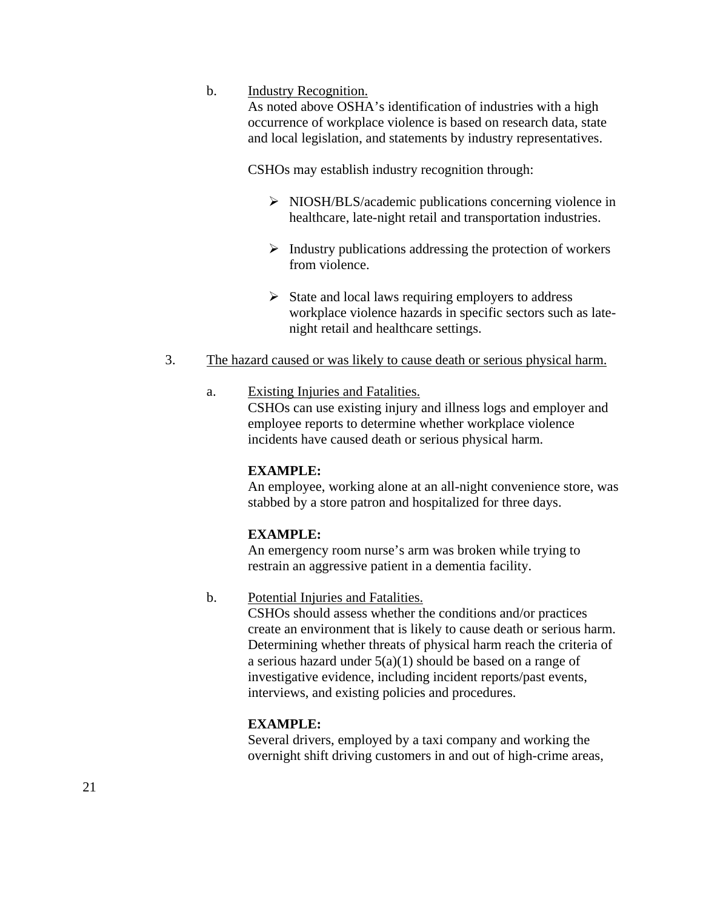b. Industry Recognition.

As noted above OSHA's identification of industries with a high occurrence of workplace violence is based on research data, state and local legislation, and statements by industry representatives.

CSHOs may establish industry recognition through:

- $\triangleright$  NIOSH/BLS/academic publications concerning violence in healthcare, late-night retail and transportation industries.
- $\triangleright$  Industry publications addressing the protection of workers from violence.
- $\triangleright$  State and local laws requiring employers to address workplace violence hazards in specific sectors such as latenight retail and healthcare settings.
- 3. The hazard caused or was likely to cause death or serious physical harm.
	- a. Existing Injuries and Fatalities. CSHOs can use existing injury and illness logs and employer and employee reports to determine whether workplace violence incidents have caused death or serious physical harm.

#### **EXAMPLE:**

An employee, working alone at an all-night convenience store, was stabbed by a store patron and hospitalized for three days.

#### **EXAMPLE:**

An emergency room nurse's arm was broken while trying to restrain an aggressive patient in a dementia facility.

#### b. Potential Injuries and Fatalities.

CSHOs should assess whether the conditions and/or practices create an environment that is likely to cause death or serious harm. Determining whether threats of physical harm reach the criteria of a serious hazard under 5(a)(1) should be based on a range of investigative evidence, including incident reports/past events, interviews, and existing policies and procedures.

#### **EXAMPLE:**

Several drivers, employed by a taxi company and working the overnight shift driving customers in and out of high-crime areas,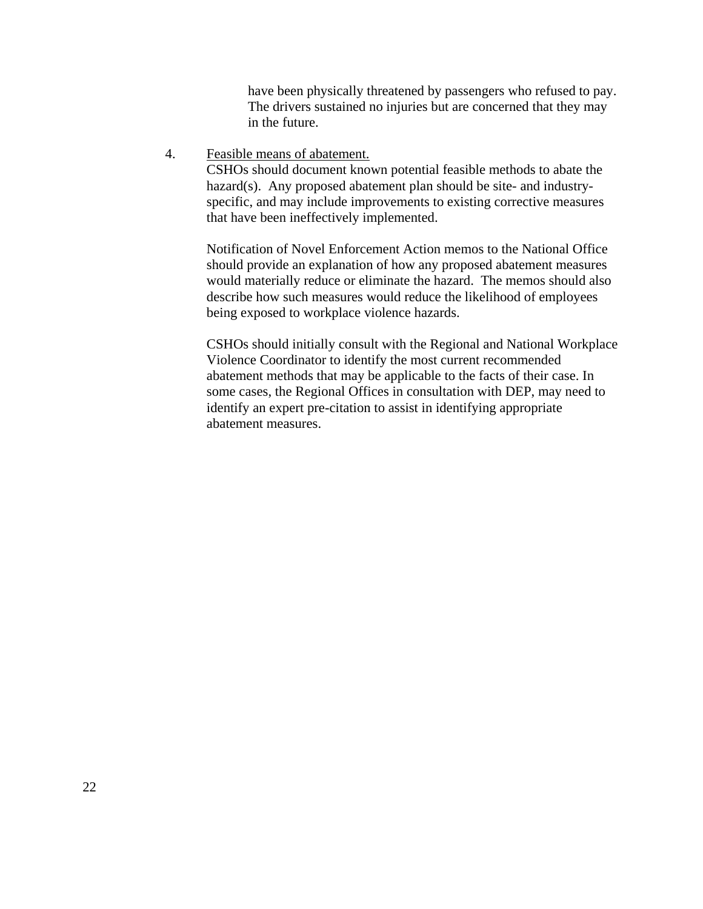have been physically threatened by passengers who refused to pay. The drivers sustained no injuries but are concerned that they may in the future.

4. Feasible means of abatement.

CSHOs should document known potential feasible methods to abate the hazard(s). Any proposed abatement plan should be site- and industryspecific, and may include improvements to existing corrective measures that have been ineffectively implemented.

Notification of Novel Enforcement Action memos to the National Office should provide an explanation of how any proposed abatement measures would materially reduce or eliminate the hazard. The memos should also describe how such measures would reduce the likelihood of employees being exposed to workplace violence hazards.

CSHOs should initially consult with the Regional and National Workplace Violence Coordinator to identify the most current recommended abatement methods that may be applicable to the facts of their case. In some cases, the Regional Offices in consultation with DEP, may need to identify an expert pre-citation to assist in identifying appropriate abatement measures.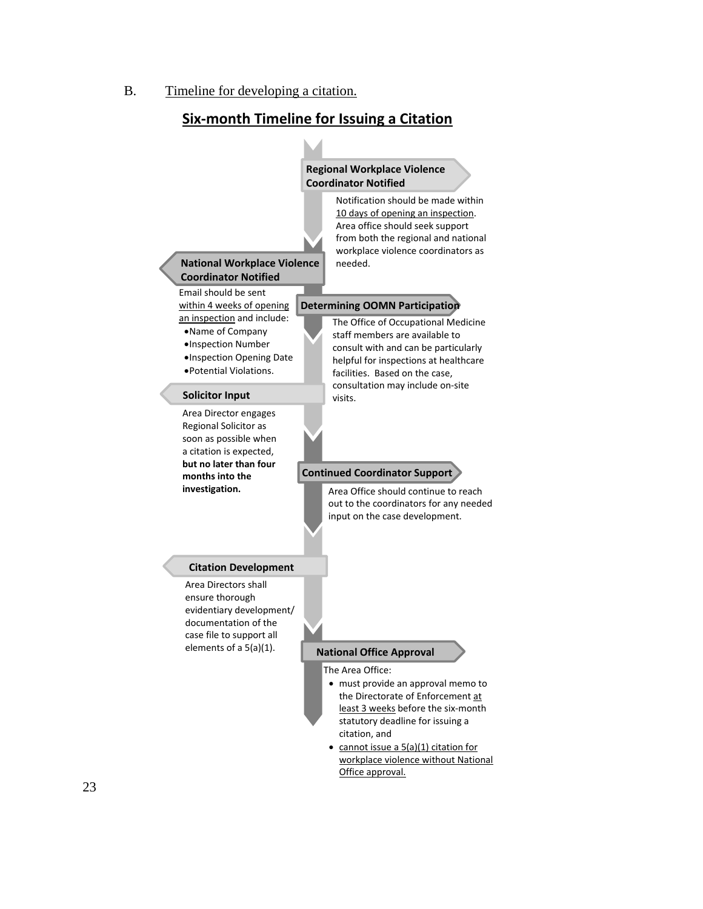B. Timeline for developing a citation.

## **Six-month Timeline for Issuing a Citation**

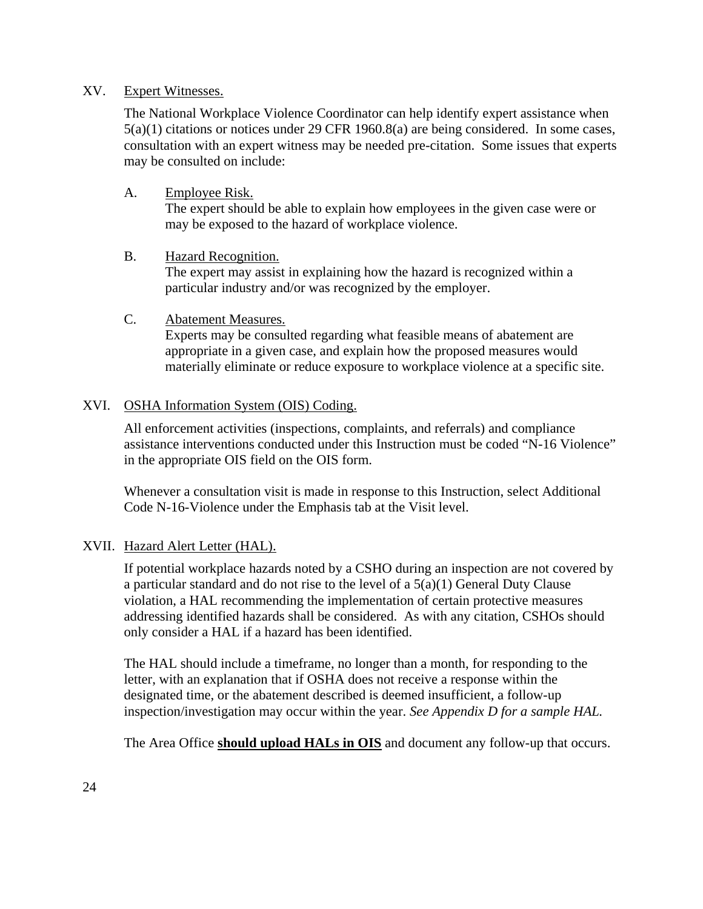#### <span id="page-28-0"></span>XV. Expert Witnesses.

The National Workplace Violence Coordinator can help identify expert assistance when 5(a)(1) citations or notices under 29 CFR 1960.8(a) are being considered. In some cases, consultation with an expert witness may be needed pre-citation. Some issues that experts may be consulted on include:

A. Employee Risk.

The expert should be able to explain how employees in the given case were or may be exposed to the hazard of workplace violence.

## B. Hazard Recognition.

The expert may assist in explaining how the hazard is recognized within a particular industry and/or was recognized by the employer.

## C. Abatement Measures.

Experts may be consulted regarding what feasible means of abatement are appropriate in a given case, and explain how the proposed measures would materially eliminate or reduce exposure to workplace violence at a specific site.

## <span id="page-28-1"></span>XVI. OSHA Information System (OIS) Coding.

All enforcement activities (inspections, complaints, and referrals) and compliance assistance interventions conducted under this Instruction must be coded "N-16 Violence" in the appropriate OIS field on the OIS form.

Whenever a consultation visit is made in response to this Instruction, select Additional Code N-16-Violence under the Emphasis tab at the Visit level.

# <span id="page-28-2"></span>XVII. Hazard Alert Letter (HAL).

If potential workplace hazards noted by a CSHO during an inspection are not covered by a particular standard and do not rise to the level of a 5(a)(1) General Duty Clause violation, a HAL recommending the implementation of certain protective measures addressing identified hazards shall be considered. As with any citation, CSHOs should only consider a HAL if a hazard has been identified.

The HAL should include a timeframe, no longer than a month, for responding to the letter, with an explanation that if OSHA does not receive a response within the designated time, or the abatement described is deemed insufficient, a follow-up inspection/investigation may occur within the year. *See Appendix D for a sample HAL.*

The Area Office **should upload HALs in OIS** and document any follow-up that occurs.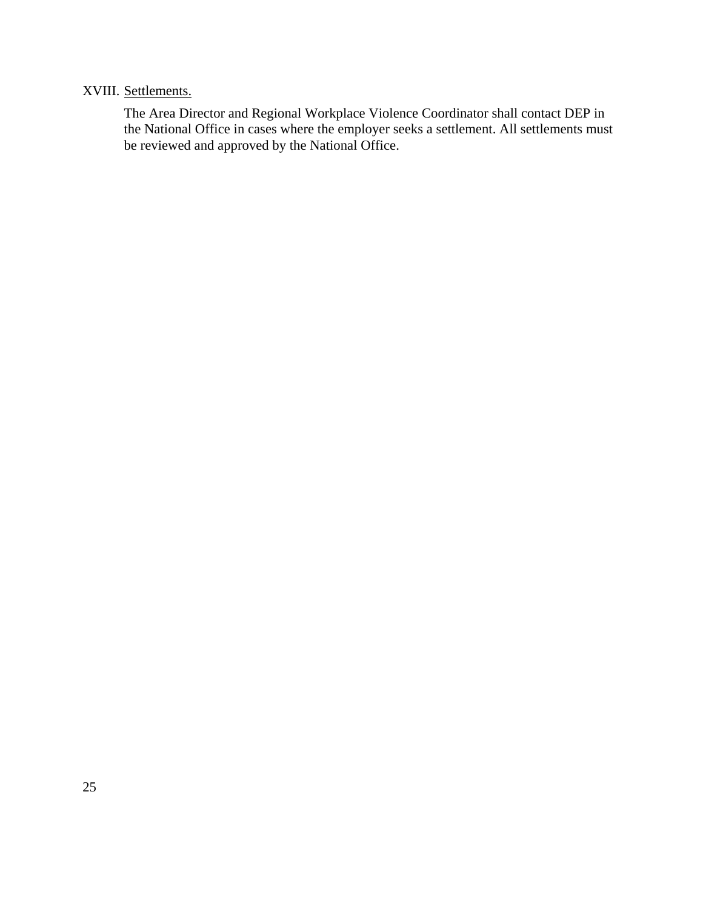# <span id="page-29-0"></span>XVIII. Settlements.

<span id="page-29-1"></span>The Area Director and Regional Workplace Violence Coordinator shall contact DEP in the National Office in cases where the employer seeks a settlement. All settlements must be reviewed and approved by the National Office.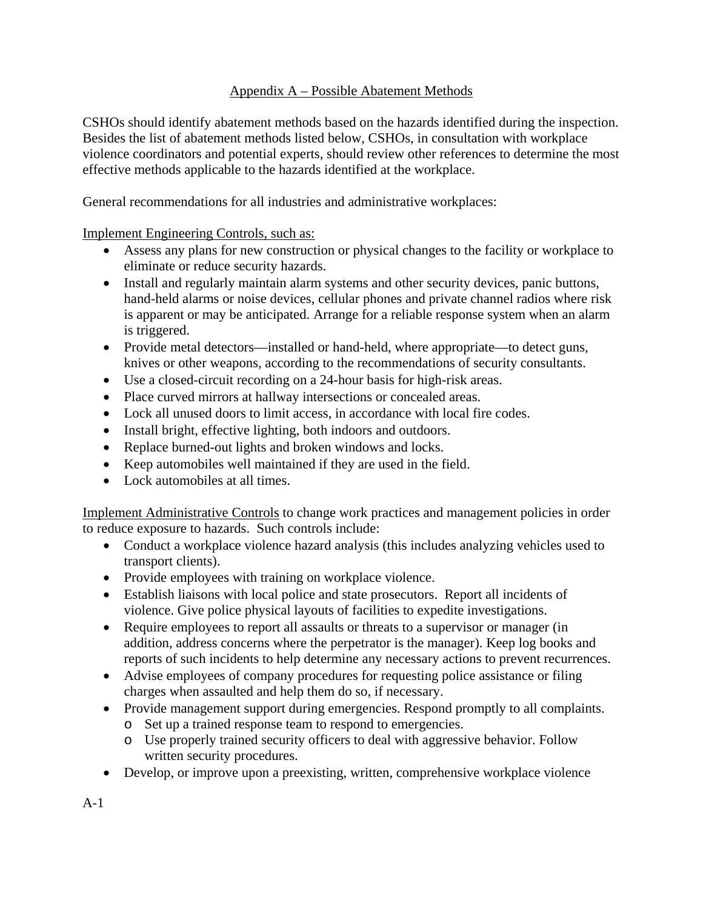# Appendix A – Possible Abatement Methods

CSHOs should identify abatement methods based on the hazards identified during the inspection. Besides the list of abatement methods listed below, CSHOs, in consultation with workplace violence coordinators and potential experts, should review other references to determine the most effective methods applicable to the hazards identified at the workplace.

General recommendations for all industries and administrative workplaces:

Implement Engineering Controls, such as:

- Assess any plans for new construction or physical changes to the facility or workplace to eliminate or reduce security hazards.
- Install and regularly maintain alarm systems and other security devices, panic buttons, hand-held alarms or noise devices, cellular phones and private channel radios where risk is apparent or may be anticipated. Arrange for a reliable response system when an alarm is triggered.
- Provide metal detectors—installed or hand-held, where appropriate—to detect guns, knives or other weapons, according to the recommendations of security consultants.
- Use a closed-circuit recording on a 24-hour basis for high-risk areas.
- Place curved mirrors at hallway intersections or concealed areas.
- Lock all unused doors to limit access, in accordance with local fire codes.
- Install bright, effective lighting, both indoors and outdoors.
- Replace burned-out lights and broken windows and locks.
- Keep automobiles well maintained if they are used in the field.
- Lock automobiles at all times.

Implement Administrative Controls to change work practices and management policies in order to reduce exposure to hazards. Such controls include:

- Conduct a workplace violence hazard analysis (this includes analyzing vehicles used to transport clients).
- Provide employees with training on workplace violence.
- Establish liaisons with local police and state prosecutors. Report all incidents of violence. Give police physical layouts of facilities to expedite investigations.
- Require employees to report all assaults or threats to a supervisor or manager (in addition, address concerns where the perpetrator is the manager). Keep log books and reports of such incidents to help determine any necessary actions to prevent recurrences.
- Advise employees of company procedures for requesting police assistance or filing charges when assaulted and help them do so, if necessary.
- Provide management support during emergencies. Respond promptly to all complaints.
	- o Set up a trained response team to respond to emergencies.
	- o Use properly trained security officers to deal with aggressive behavior. Follow written security procedures.
- Develop, or improve upon a preexisting, written, comprehensive workplace violence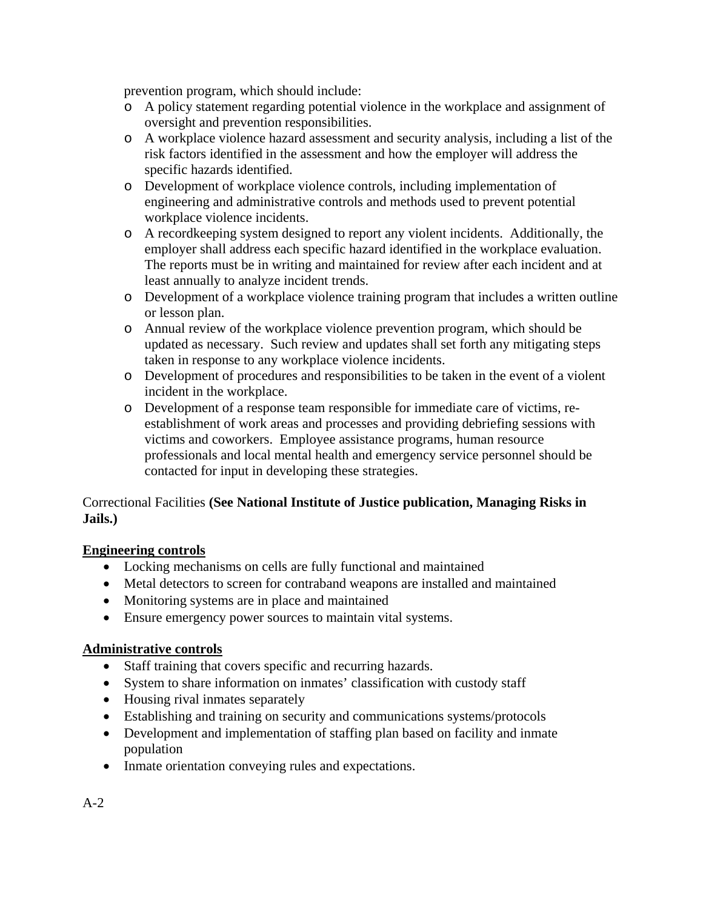prevention program, which should include:

- o A policy statement regarding potential violence in the workplace and assignment of oversight and prevention responsibilities.
- o A workplace violence hazard assessment and security analysis, including a list of the risk factors identified in the assessment and how the employer will address the specific hazards identified.
- o Development of workplace violence controls, including implementation of engineering and administrative controls and methods used to prevent potential workplace violence incidents.
- o A recordkeeping system designed to report any violent incidents. Additionally, the employer shall address each specific hazard identified in the workplace evaluation. The reports must be in writing and maintained for review after each incident and at least annually to analyze incident trends.
- o Development of a workplace violence training program that includes a written outline or lesson plan.
- o Annual review of the workplace violence prevention program, which should be updated as necessary. Such review and updates shall set forth any mitigating steps taken in response to any workplace violence incidents.
- o Development of procedures and responsibilities to be taken in the event of a violent incident in the workplace.
- o Development of a response team responsible for immediate care of victims, reestablishment of work areas and processes and providing debriefing sessions with victims and coworkers. Employee assistance programs, human resource professionals and local mental health and emergency service personnel should be contacted for input in developing these strategies.

# Correctional Facilities **(See National Institute of Justice publication, Managing Risks in Jails.)**

# **Engineering controls**

- Locking mechanisms on cells are fully functional and maintained
- Metal detectors to screen for contraband weapons are installed and maintained
- Monitoring systems are in place and maintained
- Ensure emergency power sources to maintain vital systems.

# **Administrative controls**

- Staff training that covers specific and recurring hazards.
- System to share information on inmates' classification with custody staff
- Housing rival inmates separately
- Establishing and training on security and communications systems/protocols
- Development and implementation of staffing plan based on facility and inmate population
- Inmate orientation conveying rules and expectations.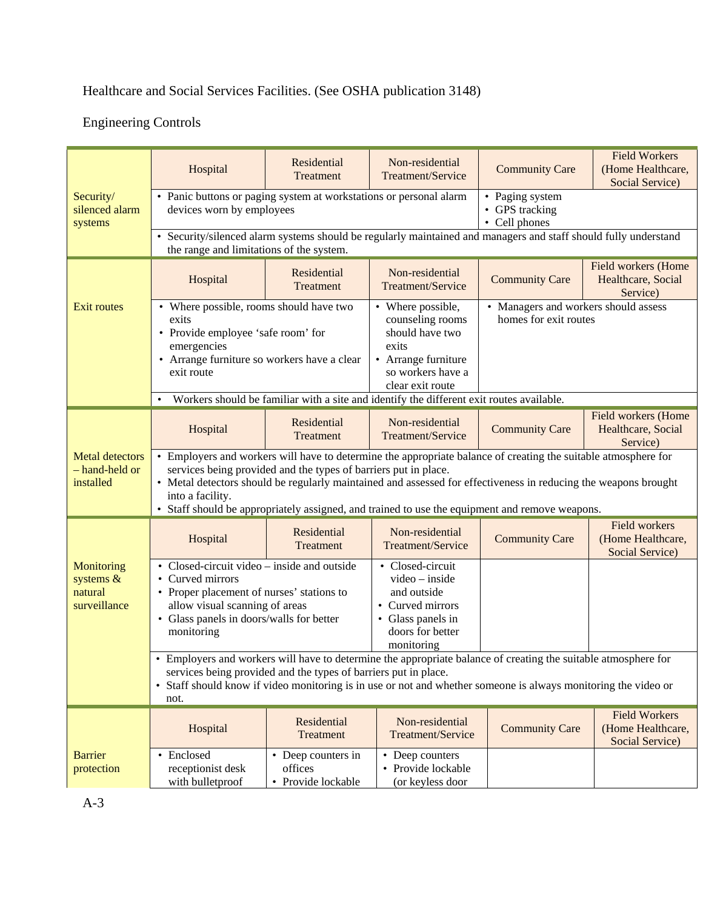# Healthcare and Social Services Facilities. (See OSHA publication 3148)

# Engineering Controls

|                                                                                                                                                                                                                                                                                                                                                                                                                                                                                     | Hospital                                                                                                                                                                                                                                                                                                    | Residential<br>Treatment                            | Non-residential<br>Treatment/Service                                                                                              | <b>Community Care</b>                                         | <b>Field Workers</b><br>(Home Healthcare,<br>Social Service) |
|-------------------------------------------------------------------------------------------------------------------------------------------------------------------------------------------------------------------------------------------------------------------------------------------------------------------------------------------------------------------------------------------------------------------------------------------------------------------------------------|-------------------------------------------------------------------------------------------------------------------------------------------------------------------------------------------------------------------------------------------------------------------------------------------------------------|-----------------------------------------------------|-----------------------------------------------------------------------------------------------------------------------------------|---------------------------------------------------------------|--------------------------------------------------------------|
| Security/<br>silenced alarm<br>systems                                                                                                                                                                                                                                                                                                                                                                                                                                              | • Panic buttons or paging system at workstations or personal alarm<br>devices worn by employees                                                                                                                                                                                                             |                                                     |                                                                                                                                   | • Paging system<br>• GPS tracking<br>• Cell phones            |                                                              |
|                                                                                                                                                                                                                                                                                                                                                                                                                                                                                     | the range and limitations of the system.                                                                                                                                                                                                                                                                    |                                                     | • Security/silenced alarm systems should be regularly maintained and managers and staff should fully understand                   |                                                               |                                                              |
|                                                                                                                                                                                                                                                                                                                                                                                                                                                                                     | Hospital                                                                                                                                                                                                                                                                                                    | Residential<br>Treatment                            | Non-residential<br>Treatment/Service                                                                                              | <b>Community Care</b>                                         | Field workers (Home<br>Healthcare, Social<br>Service)        |
| <b>Exit routes</b>                                                                                                                                                                                                                                                                                                                                                                                                                                                                  | • Where possible, rooms should have two<br>exits<br>• Provide employee 'safe room' for<br>emergencies<br>• Arrange furniture so workers have a clear<br>exit route                                                                                                                                          |                                                     | • Where possible,<br>counseling rooms<br>should have two<br>exits<br>• Arrange furniture<br>so workers have a<br>clear exit route | • Managers and workers should assess<br>homes for exit routes |                                                              |
|                                                                                                                                                                                                                                                                                                                                                                                                                                                                                     |                                                                                                                                                                                                                                                                                                             |                                                     | Workers should be familiar with a site and identify the different exit routes available.                                          |                                                               |                                                              |
|                                                                                                                                                                                                                                                                                                                                                                                                                                                                                     | Hospital                                                                                                                                                                                                                                                                                                    | Residential<br>Treatment                            | Non-residential<br>Treatment/Service                                                                                              | <b>Community Care</b>                                         | Field workers (Home<br>Healthcare, Social<br>Service)        |
| • Employers and workers will have to determine the appropriate balance of creating the suitable atmosphere for<br><b>Metal detectors</b><br>- hand-held or<br>services being provided and the types of barriers put in place.<br>• Metal detectors should be regularly maintained and assessed for effectiveness in reducing the weapons brought<br>installed<br>into a facility.<br>• Staff should be appropriately assigned, and trained to use the equipment and remove weapons. |                                                                                                                                                                                                                                                                                                             |                                                     |                                                                                                                                   |                                                               |                                                              |
|                                                                                                                                                                                                                                                                                                                                                                                                                                                                                     | Hospital                                                                                                                                                                                                                                                                                                    | Residential<br>Treatment                            | Non-residential<br>Treatment/Service                                                                                              | <b>Community Care</b>                                         | Field workers<br>(Home Healthcare,<br>Social Service)        |
| Monitoring<br>systems &<br>natural<br>surveillance                                                                                                                                                                                                                                                                                                                                                                                                                                  | • Closed-circuit video – inside and outside<br>• Curved mirrors<br>• Proper placement of nurses' stations to<br>allow visual scanning of areas<br>• Glass panels in doors/walls for better<br>monitoring                                                                                                    |                                                     | • Closed-circuit<br>$video - inside$<br>and outside<br>• Curved mirrors<br>• Glass panels in<br>doors for better<br>monitoring    |                                                               |                                                              |
|                                                                                                                                                                                                                                                                                                                                                                                                                                                                                     | • Employers and workers will have to determine the appropriate balance of creating the suitable atmosphere for<br>services being provided and the types of barriers put in place.<br>• Staff should know if video monitoring is in use or not and whether someone is always monitoring the video or<br>not. |                                                     |                                                                                                                                   |                                                               |                                                              |
|                                                                                                                                                                                                                                                                                                                                                                                                                                                                                     | Hospital                                                                                                                                                                                                                                                                                                    | Residential<br>Treatment                            | Non-residential<br>Treatment/Service                                                                                              | <b>Community Care</b>                                         | <b>Field Workers</b><br>(Home Healthcare,<br>Social Service) |
| <b>Barrier</b><br>protection                                                                                                                                                                                                                                                                                                                                                                                                                                                        | • Enclosed<br>receptionist desk<br>with bulletproof                                                                                                                                                                                                                                                         | • Deep counters in<br>offices<br>• Provide lockable | • Deep counters<br>• Provide lockable<br>(or keyless door                                                                         |                                                               |                                                              |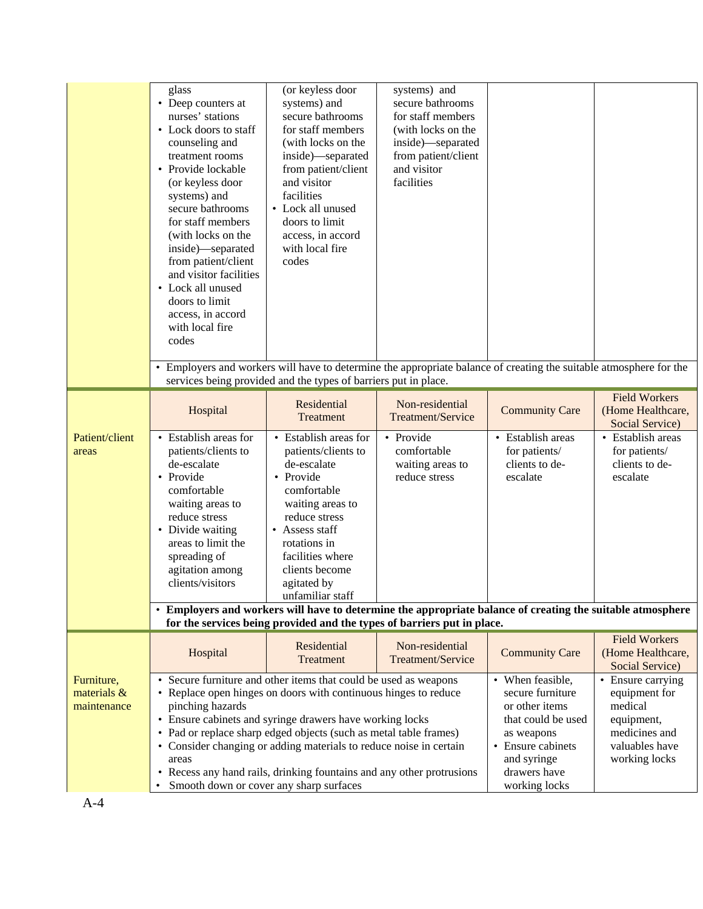| Patient/client<br>areas | from patient/client<br>and visitor facilities<br>• Lock all unused<br>doors to limit<br>access, in accord<br>with local fire<br>codes<br>Hospital<br>• Establish areas for<br>patients/clients to<br>de-escalate<br>• Provide<br>comfortable<br>waiting areas to<br>reduce stress<br>• Divide waiting | with local fire<br>codes<br>• Employers and workers will have to determine the appropriate balance of creating the suitable atmosphere for the<br>services being provided and the types of barriers put in place.<br>Residential<br>Treatment<br>• Establish areas for<br>patients/clients to<br>de-escalate<br>• Provide<br>comfortable<br>waiting areas to<br>reduce stress<br>• Assess staff | Non-residential<br>Treatment/Service<br>• Provide<br>comfortable<br>waiting areas to<br>reduce stress | <b>Community Care</b><br>• Establish areas<br>for patients/<br>clients to de-<br>escalate | <b>Field Workers</b><br>(Home Healthcare,<br>Social Service)<br>• Establish areas<br>for patients/<br>clients to de-<br>escalate |
|-------------------------|-------------------------------------------------------------------------------------------------------------------------------------------------------------------------------------------------------------------------------------------------------------------------------------------------------|-------------------------------------------------------------------------------------------------------------------------------------------------------------------------------------------------------------------------------------------------------------------------------------------------------------------------------------------------------------------------------------------------|-------------------------------------------------------------------------------------------------------|-------------------------------------------------------------------------------------------|----------------------------------------------------------------------------------------------------------------------------------|
|                         | areas to limit the<br>spreading of<br>agitation among                                                                                                                                                                                                                                                 | rotations in<br>facilities where<br>clients become                                                                                                                                                                                                                                                                                                                                              |                                                                                                       |                                                                                           |                                                                                                                                  |
|                         | clients/visitors                                                                                                                                                                                                                                                                                      | agitated by<br>unfamiliar staff                                                                                                                                                                                                                                                                                                                                                                 |                                                                                                       |                                                                                           |                                                                                                                                  |
|                         |                                                                                                                                                                                                                                                                                                       | • Employers and workers will have to determine the appropriate balance of creating the suitable atmosphere<br>for the services being provided and the types of barriers put in place.                                                                                                                                                                                                           |                                                                                                       |                                                                                           |                                                                                                                                  |
|                         | Hospital                                                                                                                                                                                                                                                                                              | Residential<br>Treatment<br>• Secure furniture and other items that could be used as weapons                                                                                                                                                                                                                                                                                                    | Non-residential<br>Treatment/Service                                                                  | <b>Community Care</b>                                                                     | <b>Field Workers</b><br>(Home Healthcare,<br>Social Service)                                                                     |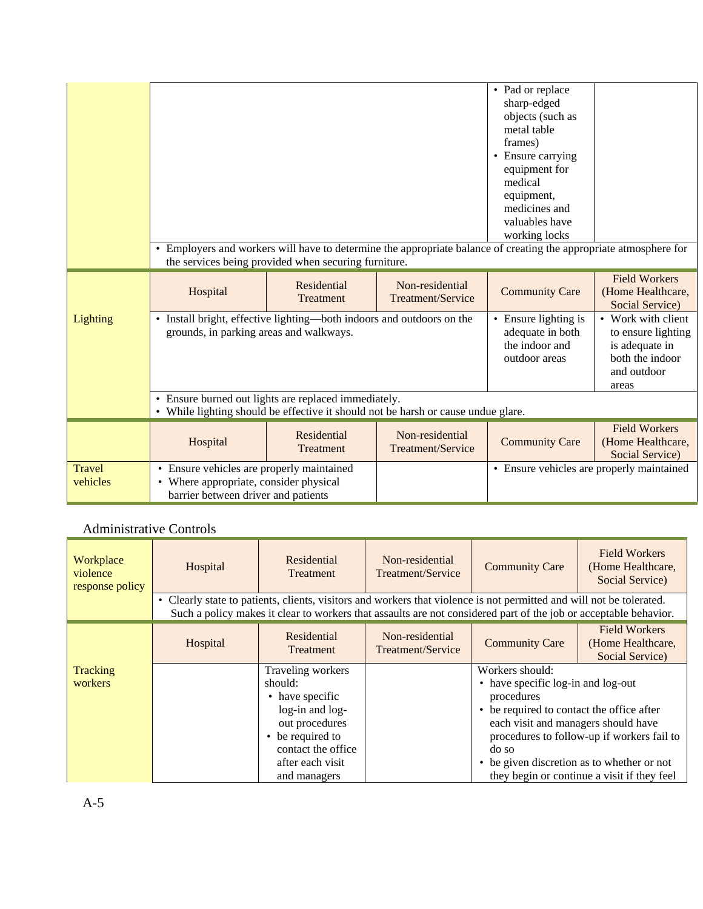|                           | • Employers and workers will have to determine the appropriate balance of creating the appropriate atmosphere for                         | the services being provided when securing furniture. |                                      | • Pad or replace<br>sharp-edged<br>objects (such as<br>metal table<br>frames)<br>• Ensure carrying<br>equipment for<br>medical<br>equipment,<br>medicines and<br>valuables have<br>working locks |                                                                                    |
|---------------------------|-------------------------------------------------------------------------------------------------------------------------------------------|------------------------------------------------------|--------------------------------------|--------------------------------------------------------------------------------------------------------------------------------------------------------------------------------------------------|------------------------------------------------------------------------------------|
| Lighting                  | Hospital<br>• Install bright, effective lighting-both indoors and outdoors on the                                                         | Residential<br><b>Treatment</b>                      | Non-residential<br>Treatment/Service | <b>Community Care</b><br>• Ensure lighting is                                                                                                                                                    | <b>Field Workers</b><br>(Home Healthcare,<br>Social Service)<br>• Work with client |
|                           | grounds, in parking areas and walkways.                                                                                                   |                                                      |                                      | adequate in both<br>the indoor and<br>outdoor areas                                                                                                                                              | to ensure lighting<br>is adequate in<br>both the indoor<br>and outdoor<br>areas    |
|                           | • Ensure burned out lights are replaced immediately.<br>• While lighting should be effective it should not be harsh or cause undue glare. |                                                      |                                      |                                                                                                                                                                                                  |                                                                                    |
|                           | Hospital                                                                                                                                  | Residential<br><b>Treatment</b>                      | Non-residential<br>Treatment/Service | <b>Community Care</b>                                                                                                                                                                            | <b>Field Workers</b><br>(Home Healthcare,<br>Social Service)                       |
| <b>Travel</b><br>vehicles | • Ensure vehicles are properly maintained<br>• Where appropriate, consider physical<br>barrier between driver and patients                |                                                      |                                      | • Ensure vehicles are properly maintained                                                                                                                                                        |                                                                                    |

# Administrative Controls

| Workplace<br>violence<br>response policy | Hospital  | Residential<br>Treatment                                                                                                                                                                                                               | Non-residential<br>Treatment/Service | <b>Community Care</b>                                                                                                                                                                                          | <b>Field Workers</b><br>(Home Healthcare,<br>Social Service)                              |
|------------------------------------------|-----------|----------------------------------------------------------------------------------------------------------------------------------------------------------------------------------------------------------------------------------------|--------------------------------------|----------------------------------------------------------------------------------------------------------------------------------------------------------------------------------------------------------------|-------------------------------------------------------------------------------------------|
|                                          | $\bullet$ | Clearly state to patients, clients, visitors and workers that violence is not permitted and will not be tolerated.<br>Such a policy makes it clear to workers that assaults are not considered part of the job or acceptable behavior. |                                      |                                                                                                                                                                                                                |                                                                                           |
|                                          | Hospital  | Residential<br><b>Treatment</b>                                                                                                                                                                                                        | Non-residential<br>Treatment/Service | <b>Community Care</b>                                                                                                                                                                                          | <b>Field Workers</b><br>(Home Healthcare,<br>Social Service)                              |
| Tracking<br>workers                      |           | Traveling workers<br>should:<br>• have specific<br>log-in and log-<br>out procedures<br>• be required to<br>contact the office<br>after each visit<br>and managers                                                                     |                                      | Workers should:<br>• have specific log-in and log-out<br>procedures<br>• be required to contact the office after<br>each visit and managers should have<br>do so<br>• be given discretion as to whether or not | procedures to follow-up if workers fail to<br>they begin or continue a visit if they feel |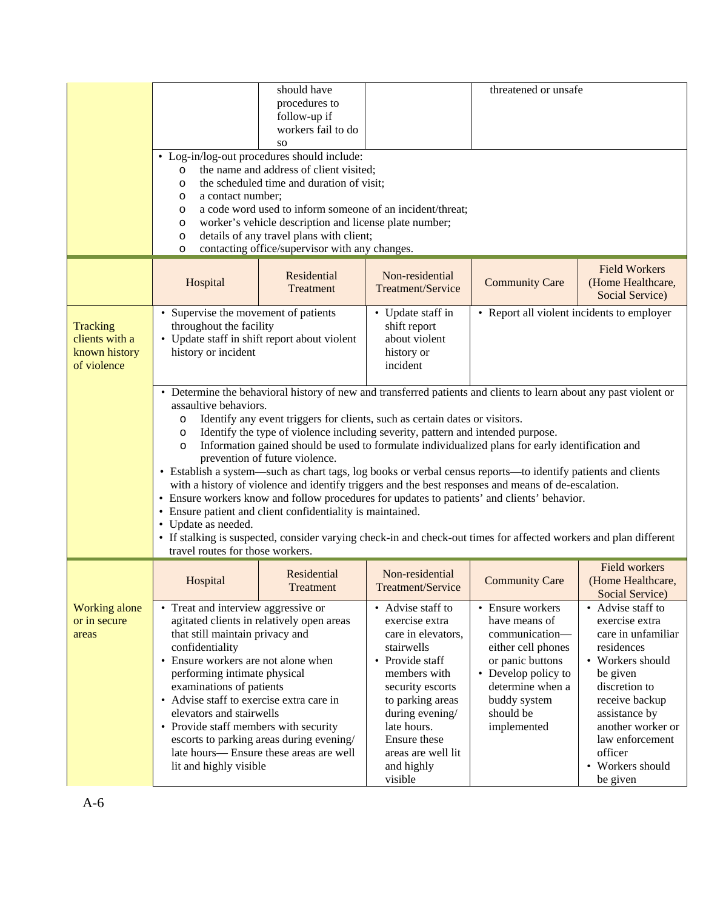|                                                                   | $\circ$<br>$\circ$<br>a contact number;<br>O<br>O<br>$\circ$<br>O<br>$\circ$                                                                                                                                                                                                                                                                                                                                                                                                                                                                                                                                                                                                                                                                                                                                                                                                                                                                                                                                                                | should have<br>procedures to<br>follow-up if<br>workers fail to do<br><b>SO</b><br>• Log-in/log-out procedures should include:<br>the name and address of client visited;<br>the scheduled time and duration of visit;<br>a code word used to inform someone of an incident/threat;<br>worker's vehicle description and license plate number;<br>details of any travel plans with client;<br>contacting office/supervisor with any changes. |                                                                                                                                                                                                                                                     | threatened or unsafe                                                                                                                                                                 |                                                                                                                                                                                                                                                |  |
|-------------------------------------------------------------------|---------------------------------------------------------------------------------------------------------------------------------------------------------------------------------------------------------------------------------------------------------------------------------------------------------------------------------------------------------------------------------------------------------------------------------------------------------------------------------------------------------------------------------------------------------------------------------------------------------------------------------------------------------------------------------------------------------------------------------------------------------------------------------------------------------------------------------------------------------------------------------------------------------------------------------------------------------------------------------------------------------------------------------------------|---------------------------------------------------------------------------------------------------------------------------------------------------------------------------------------------------------------------------------------------------------------------------------------------------------------------------------------------------------------------------------------------------------------------------------------------|-----------------------------------------------------------------------------------------------------------------------------------------------------------------------------------------------------------------------------------------------------|--------------------------------------------------------------------------------------------------------------------------------------------------------------------------------------|------------------------------------------------------------------------------------------------------------------------------------------------------------------------------------------------------------------------------------------------|--|
|                                                                   | Hospital                                                                                                                                                                                                                                                                                                                                                                                                                                                                                                                                                                                                                                                                                                                                                                                                                                                                                                                                                                                                                                    | Residential<br>Treatment                                                                                                                                                                                                                                                                                                                                                                                                                    | Non-residential<br>Treatment/Service                                                                                                                                                                                                                | <b>Community Care</b>                                                                                                                                                                | <b>Field Workers</b><br>(Home Healthcare,<br>Social Service)                                                                                                                                                                                   |  |
| <b>Tracking</b><br>clients with a<br>known history<br>of violence | • Supervise the movement of patients<br>throughout the facility<br>history or incident                                                                                                                                                                                                                                                                                                                                                                                                                                                                                                                                                                                                                                                                                                                                                                                                                                                                                                                                                      | • Update staff in shift report about violent                                                                                                                                                                                                                                                                                                                                                                                                | • Update staff in<br>shift report<br>about violent<br>history or<br>incident                                                                                                                                                                        | • Report all violent incidents to employer                                                                                                                                           |                                                                                                                                                                                                                                                |  |
|                                                                   | • Determine the behavioral history of new and transferred patients and clients to learn about any past violent or<br>assaultive behaviors.<br>Identify any event triggers for clients, such as certain dates or visitors.<br>O<br>Identify the type of violence including severity, pattern and intended purpose.<br>O<br>Information gained should be used to formulate individualized plans for early identification and<br>$\circ$<br>prevention of future violence.<br>• Establish a system—such as chart tags, log books or verbal census reports—to identify patients and clients<br>with a history of violence and identify triggers and the best responses and means of de-escalation.<br>• Ensure workers know and follow procedures for updates to patients' and clients' behavior.<br>• Ensure patient and client confidentiality is maintained.<br>• Update as needed.<br>• If stalking is suspected, consider varying check-in and check-out times for affected workers and plan different<br>travel routes for those workers. |                                                                                                                                                                                                                                                                                                                                                                                                                                             |                                                                                                                                                                                                                                                     |                                                                                                                                                                                      |                                                                                                                                                                                                                                                |  |
|                                                                   | Hospital                                                                                                                                                                                                                                                                                                                                                                                                                                                                                                                                                                                                                                                                                                                                                                                                                                                                                                                                                                                                                                    | Residential<br>Treatment                                                                                                                                                                                                                                                                                                                                                                                                                    | Non-residential<br>Treatment/Service                                                                                                                                                                                                                | <b>Community Care</b>                                                                                                                                                                | Field workers<br>(Home Healthcare,<br>Social Service)                                                                                                                                                                                          |  |
| <b>Working alone</b><br>or in secure<br>areas                     | • Treat and interview aggressive or<br>that still maintain privacy and<br>confidentiality<br>• Ensure workers are not alone when<br>performing intimate physical<br>examinations of patients<br>• Advise staff to exercise extra care in<br>elevators and stairwells<br>• Provide staff members with security<br>lit and highly visible                                                                                                                                                                                                                                                                                                                                                                                                                                                                                                                                                                                                                                                                                                     | agitated clients in relatively open areas<br>escorts to parking areas during evening/<br>late hours— Ensure these areas are well                                                                                                                                                                                                                                                                                                            | • Advise staff to<br>exercise extra<br>care in elevators,<br>stairwells<br>• Provide staff<br>members with<br>security escorts<br>to parking areas<br>during evening/<br>late hours.<br>Ensure these<br>areas are well lit<br>and highly<br>visible | • Ensure workers<br>have means of<br>communication-<br>either cell phones<br>or panic buttons<br>• Develop policy to<br>determine when a<br>buddy system<br>should be<br>implemented | • Advise staff to<br>exercise extra<br>care in unfamiliar<br>residences<br>• Workers should<br>be given<br>discretion to<br>receive backup<br>assistance by<br>another worker or<br>law enforcement<br>officer<br>• Workers should<br>be given |  |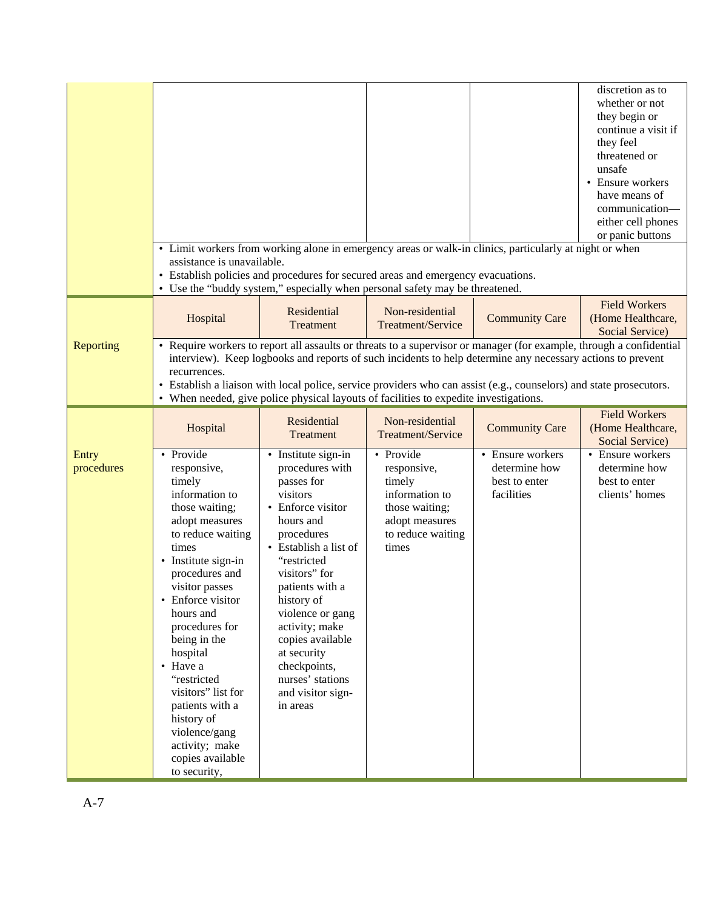|                     | assistance is unavailable.                                                                                                                                                                                                                                                                                                                                                                                                                                        | • Limit workers from working alone in emergency areas or walk-in clinics, particularly at night or when<br>• Establish policies and procedures for secured areas and emergency evacuations.                                                                                                                                                              |                                                                                                                        |                                                                  | discretion as to<br>whether or not<br>they begin or<br>continue a visit if<br>they feel<br>threatened or<br>unsafe<br>• Ensure workers<br>have means of<br>communication-<br>either cell phones<br>or panic buttons |  |
|---------------------|-------------------------------------------------------------------------------------------------------------------------------------------------------------------------------------------------------------------------------------------------------------------------------------------------------------------------------------------------------------------------------------------------------------------------------------------------------------------|----------------------------------------------------------------------------------------------------------------------------------------------------------------------------------------------------------------------------------------------------------------------------------------------------------------------------------------------------------|------------------------------------------------------------------------------------------------------------------------|------------------------------------------------------------------|---------------------------------------------------------------------------------------------------------------------------------------------------------------------------------------------------------------------|--|
|                     | Hospital                                                                                                                                                                                                                                                                                                                                                                                                                                                          | • Use the "buddy system," especially when personal safety may be threatened.<br>Residential<br>Treatment                                                                                                                                                                                                                                                 | Non-residential<br>Treatment/Service                                                                                   | <b>Community Care</b>                                            | <b>Field Workers</b><br>(Home Healthcare,<br>Social Service)                                                                                                                                                        |  |
| Reporting           | • Require workers to report all assaults or threats to a supervisor or manager (for example, through a confidential<br>interview). Keep logbooks and reports of such incidents to help determine any necessary actions to prevent<br>recurrences.<br>• Establish a liaison with local police, service providers who can assist (e.g., counselors) and state prosecutors.<br>• When needed, give police physical layouts of facilities to expedite investigations. |                                                                                                                                                                                                                                                                                                                                                          |                                                                                                                        |                                                                  |                                                                                                                                                                                                                     |  |
|                     | Hospital                                                                                                                                                                                                                                                                                                                                                                                                                                                          | Residential<br>Treatment                                                                                                                                                                                                                                                                                                                                 | Non-residential<br>Treatment/Service                                                                                   | <b>Community Care</b>                                            | <b>Field Workers</b><br>(Home Healthcare,<br>Social Service)                                                                                                                                                        |  |
| Entry<br>procedures | • Provide<br>responsive,<br>timely<br>information to<br>those waiting;<br>adopt measures<br>to reduce waiting<br>times<br>• Institute sign-in<br>procedures and<br>visitor passes<br>• Enforce visitor<br>hours and<br>procedures for<br>being in the<br>hospital<br>• Have a<br>"restricted<br>visitors" list for<br>patients with a<br>history of<br>violence/gang<br>activity; make<br>copies available<br>to security,                                        | • Institute sign-in<br>procedures with<br>passes for<br>visitors<br>• Enforce visitor<br>hours and<br>procedures<br>• Establish a list of<br>"restricted<br>visitors" for<br>patients with a<br>history of<br>violence or gang<br>activity; make<br>copies available<br>at security<br>checkpoints,<br>nurses' stations<br>and visitor sign-<br>in areas | • Provide<br>responsive,<br>timely<br>information to<br>those waiting;<br>adopt measures<br>to reduce waiting<br>times | • Ensure workers<br>determine how<br>best to enter<br>facilities | • Ensure workers<br>determine how<br>best to enter<br>clients' homes                                                                                                                                                |  |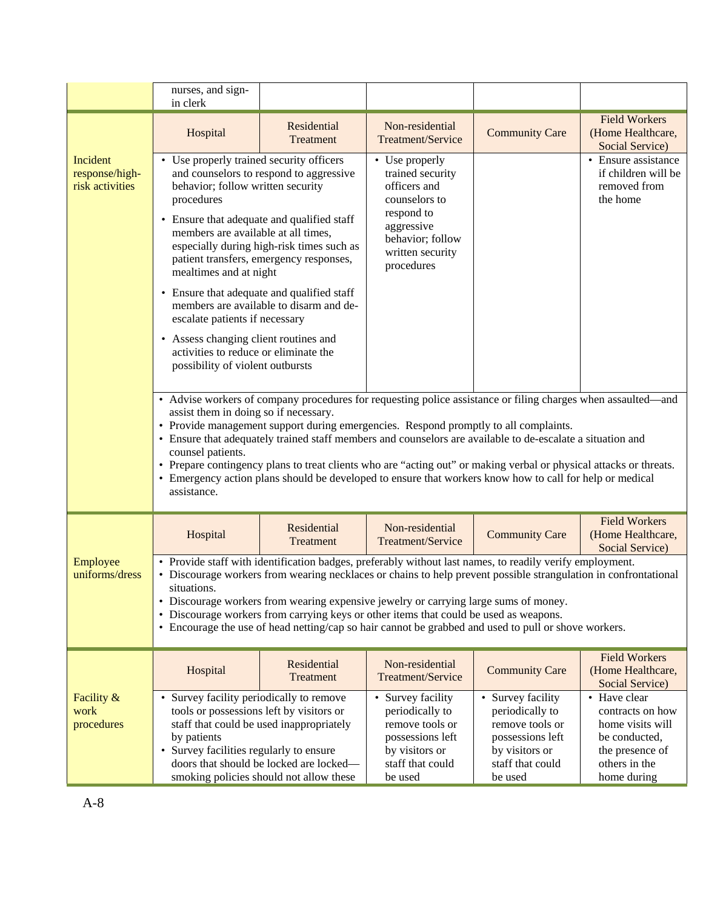|                                               | nurses, and sign-<br>in clerk                                                                                                                                                                                                                                                                                                                                                                                                                                                                                                                                                                                                                                                                                                                                                                                                                                                                                                                                                                                                                                                                                                                                                                                                       |                                                                                                                                |                                                                                                                                                       |                                                                                                                              |                                                                                                                          |  |  |
|-----------------------------------------------|-------------------------------------------------------------------------------------------------------------------------------------------------------------------------------------------------------------------------------------------------------------------------------------------------------------------------------------------------------------------------------------------------------------------------------------------------------------------------------------------------------------------------------------------------------------------------------------------------------------------------------------------------------------------------------------------------------------------------------------------------------------------------------------------------------------------------------------------------------------------------------------------------------------------------------------------------------------------------------------------------------------------------------------------------------------------------------------------------------------------------------------------------------------------------------------------------------------------------------------|--------------------------------------------------------------------------------------------------------------------------------|-------------------------------------------------------------------------------------------------------------------------------------------------------|------------------------------------------------------------------------------------------------------------------------------|--------------------------------------------------------------------------------------------------------------------------|--|--|
|                                               | Hospital                                                                                                                                                                                                                                                                                                                                                                                                                                                                                                                                                                                                                                                                                                                                                                                                                                                                                                                                                                                                                                                                                                                                                                                                                            | Residential<br>Treatment                                                                                                       | Non-residential<br>Treatment/Service                                                                                                                  | <b>Community Care</b>                                                                                                        | <b>Field Workers</b><br>(Home Healthcare,<br>Social Service)                                                             |  |  |
| Incident<br>response/high-<br>risk activities | • Use properly trained security officers<br>and counselors to respond to aggressive<br>behavior; follow written security<br>procedures<br>• Ensure that adequate and qualified staff<br>members are available at all times,<br>especially during high-risk times such as<br>patient transfers, emergency responses,<br>mealtimes and at night<br>• Ensure that adequate and qualified staff<br>members are available to disarm and de-<br>escalate patients if necessary<br>• Assess changing client routines and<br>activities to reduce or eliminate the<br>possibility of violent outbursts<br>• Advise workers of company procedures for requesting police assistance or filing charges when assaulted—and<br>assist them in doing so if necessary.<br>• Provide management support during emergencies. Respond promptly to all complaints.<br>• Ensure that adequately trained staff members and counselors are available to de-escalate a situation and<br>counsel patients.<br>• Prepare contingency plans to treat clients who are "acting out" or making verbal or physical attacks or threats.<br>• Emergency action plans should be developed to ensure that workers know how to call for help or medical<br>assistance. |                                                                                                                                | • Use properly<br>trained security<br>officers and<br>counselors to<br>respond to<br>aggressive<br>behavior; follow<br>written security<br>procedures |                                                                                                                              | • Ensure assistance<br>if children will be<br>removed from<br>the home                                                   |  |  |
|                                               | Hospital                                                                                                                                                                                                                                                                                                                                                                                                                                                                                                                                                                                                                                                                                                                                                                                                                                                                                                                                                                                                                                                                                                                                                                                                                            | Residential<br>Treatment                                                                                                       | Non-residential<br>Treatment/Service                                                                                                                  | <b>Community Care</b>                                                                                                        | <b>Field Workers</b><br>(Home Healthcare,<br>Social Service)                                                             |  |  |
| Employee<br>uniforms/dress                    | • Provide staff with identification badges, preferably without last names, to readily verify employment.<br>• Discourage workers from wearing necklaces or chains to help prevent possible strangulation in confrontational<br>situations.<br>• Discourage workers from wearing expensive jewelry or carrying large sums of money.<br>• Discourage workers from carrying keys or other items that could be used as weapons.<br>• Encourage the use of head netting/cap so hair cannot be grabbed and used to pull or shove workers.                                                                                                                                                                                                                                                                                                                                                                                                                                                                                                                                                                                                                                                                                                 |                                                                                                                                |                                                                                                                                                       |                                                                                                                              |                                                                                                                          |  |  |
| Facility &<br>work<br>procedures              | Hospital                                                                                                                                                                                                                                                                                                                                                                                                                                                                                                                                                                                                                                                                                                                                                                                                                                                                                                                                                                                                                                                                                                                                                                                                                            | Residential<br>Treatment                                                                                                       | Non-residential<br><b>Treatment/Service</b>                                                                                                           | <b>Community Care</b>                                                                                                        | <b>Field Workers</b><br>(Home Healthcare,<br>Social Service)                                                             |  |  |
|                                               | • Survey facility periodically to remove<br>tools or possessions left by visitors or<br>by patients<br>• Survey facilities regularly to ensure                                                                                                                                                                                                                                                                                                                                                                                                                                                                                                                                                                                                                                                                                                                                                                                                                                                                                                                                                                                                                                                                                      | staff that could be used inappropriately<br>doors that should be locked are locked-<br>smoking policies should not allow these | • Survey facility<br>periodically to<br>remove tools or<br>possessions left<br>by visitors or<br>staff that could<br>be used                          | • Survey facility<br>periodically to<br>remove tools or<br>possessions left<br>by visitors or<br>staff that could<br>be used | • Have clear<br>contracts on how<br>home visits will<br>be conducted,<br>the presence of<br>others in the<br>home during |  |  |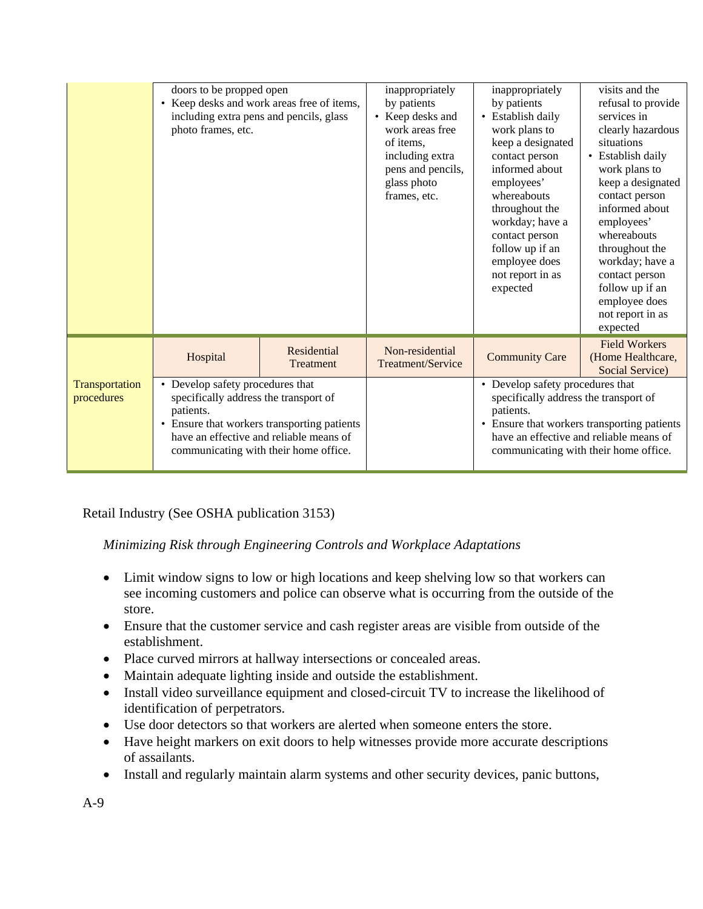|                              | doors to be propped open<br>• Keep desks and work areas free of items,<br>including extra pens and pencils, glass<br>photo frames, etc.                                                                                   |                                 | inappropriately<br>by patients<br>• Keep desks and<br>work areas free<br>of items.<br>including extra<br>pens and pencils,<br>glass photo<br>frames, etc. | inappropriately<br>by patients<br>• Establish daily<br>work plans to<br>keep a designated<br>contact person<br>informed about<br>employees'<br>whereabouts<br>throughout the<br>workday; have a<br>contact person<br>follow up if an<br>employee does<br>not report in as<br>expected | visits and the<br>refusal to provide<br>services in<br>clearly hazardous<br>situations<br>• Establish daily<br>work plans to<br>keep a designated<br>contact person<br>informed about<br>employees'<br>whereabouts<br>throughout the<br>workday; have a<br>contact person<br>follow up if an<br>employee does<br>not report in as<br>expected |
|------------------------------|---------------------------------------------------------------------------------------------------------------------------------------------------------------------------------------------------------------------------|---------------------------------|-----------------------------------------------------------------------------------------------------------------------------------------------------------|---------------------------------------------------------------------------------------------------------------------------------------------------------------------------------------------------------------------------------------------------------------------------------------|-----------------------------------------------------------------------------------------------------------------------------------------------------------------------------------------------------------------------------------------------------------------------------------------------------------------------------------------------|
|                              | Hospital                                                                                                                                                                                                                  | Residential<br><b>Treatment</b> | Non-residential<br><b>Treatment/Service</b>                                                                                                               | <b>Community Care</b>                                                                                                                                                                                                                                                                 | <b>Field Workers</b><br>(Home Healthcare,<br>Social Service)                                                                                                                                                                                                                                                                                  |
| Transportation<br>procedures | • Develop safety procedures that<br>specifically address the transport of<br>patients.<br>• Ensure that workers transporting patients<br>have an effective and reliable means of<br>communicating with their home office. |                                 |                                                                                                                                                           | • Develop safety procedures that<br>specifically address the transport of<br>patients.<br>• Ensure that workers transporting patients<br>have an effective and reliable means of<br>communicating with their home office.                                                             |                                                                                                                                                                                                                                                                                                                                               |

Retail Industry (See OSHA publication 3153)

*Minimizing Risk through Engineering Controls and Workplace Adaptations* 

- Limit window signs to low or high locations and keep shelving low so that workers can see incoming customers and police can observe what is occurring from the outside of the store.
- Ensure that the customer service and cash register areas are visible from outside of the establishment.
- Place curved mirrors at hallway intersections or concealed areas.
- Maintain adequate lighting inside and outside the establishment.
- Install video surveillance equipment and closed-circuit TV to increase the likelihood of identification of perpetrators.
- Use door detectors so that workers are alerted when someone enters the store.
- Have height markers on exit doors to help witnesses provide more accurate descriptions of assailants.
- Install and regularly maintain alarm systems and other security devices, panic buttons,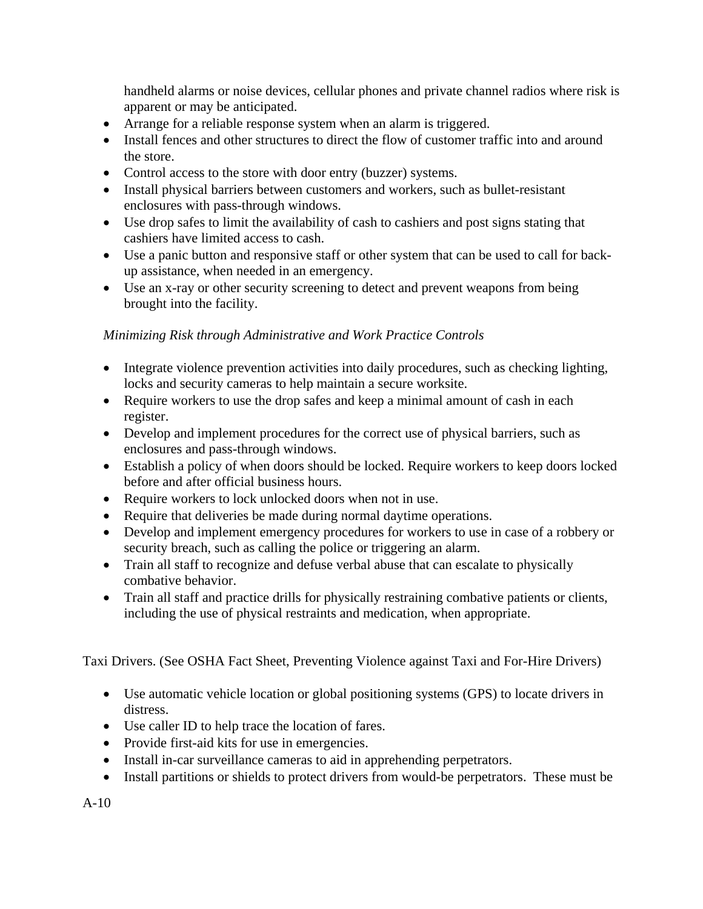handheld alarms or noise devices, cellular phones and private channel radios where risk is apparent or may be anticipated.

- Arrange for a reliable response system when an alarm is triggered.
- Install fences and other structures to direct the flow of customer traffic into and around the store.
- Control access to the store with door entry (buzzer) systems.
- Install physical barriers between customers and workers, such as bullet-resistant enclosures with pass-through windows.
- Use drop safes to limit the availability of cash to cashiers and post signs stating that cashiers have limited access to cash.
- Use a panic button and responsive staff or other system that can be used to call for backup assistance, when needed in an emergency.
- Use an x-ray or other security screening to detect and prevent weapons from being brought into the facility.

# *Minimizing Risk through Administrative and Work Practice Controls*

- Integrate violence prevention activities into daily procedures, such as checking lighting, locks and security cameras to help maintain a secure worksite.
- Require workers to use the drop safes and keep a minimal amount of cash in each register.
- Develop and implement procedures for the correct use of physical barriers, such as enclosures and pass-through windows.
- Establish a policy of when doors should be locked. Require workers to keep doors locked before and after official business hours.
- Require workers to lock unlocked doors when not in use.
- Require that deliveries be made during normal daytime operations.
- Develop and implement emergency procedures for workers to use in case of a robbery or security breach, such as calling the police or triggering an alarm.
- Train all staff to recognize and defuse verbal abuse that can escalate to physically combative behavior.
- Train all staff and practice drills for physically restraining combative patients or clients, including the use of physical restraints and medication, when appropriate.

Taxi Drivers. (See OSHA Fact Sheet, Preventing Violence against Taxi and For-Hire Drivers)

- Use automatic vehicle location or global positioning systems (GPS) to locate drivers in distress.
- Use caller ID to help trace the location of fares.
- Provide first-aid kits for use in emergencies.
- Install in-car surveillance cameras to aid in apprehending perpetrators.
- Install partitions or shields to protect drivers from would-be perpetrators. These must be

A-10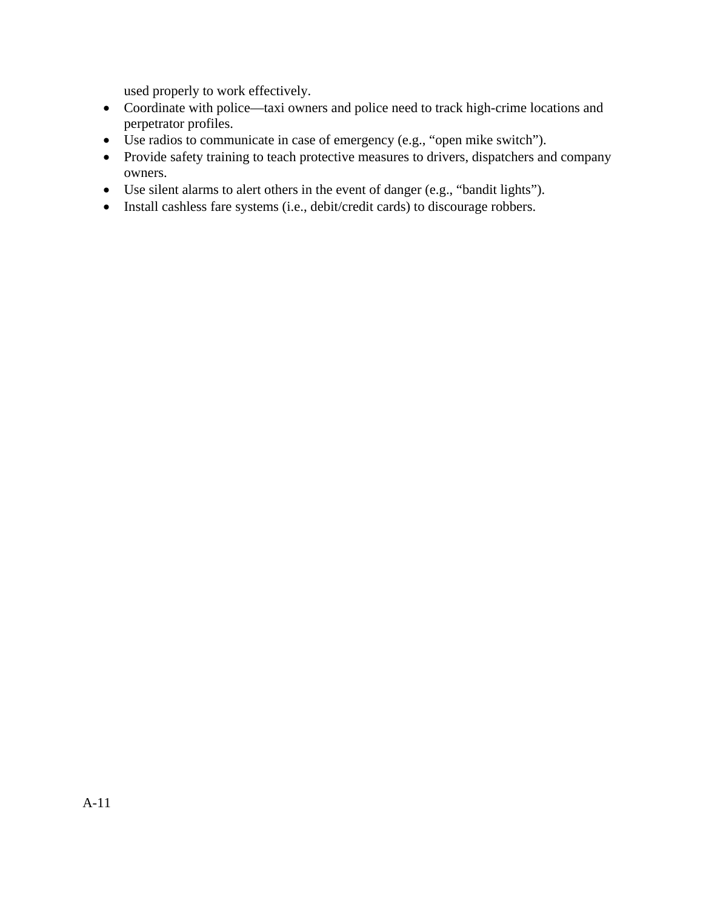used properly to work effectively.

- Coordinate with police—taxi owners and police need to track high-crime locations and perpetrator profiles.
- Use radios to communicate in case of emergency (e.g., "open mike switch").
- Provide safety training to teach protective measures to drivers, dispatchers and company owners.
- Use silent alarms to alert others in the event of danger (e.g., "bandit lights").
- Install cashless fare systems (i.e., debit/credit cards) to discourage robbers.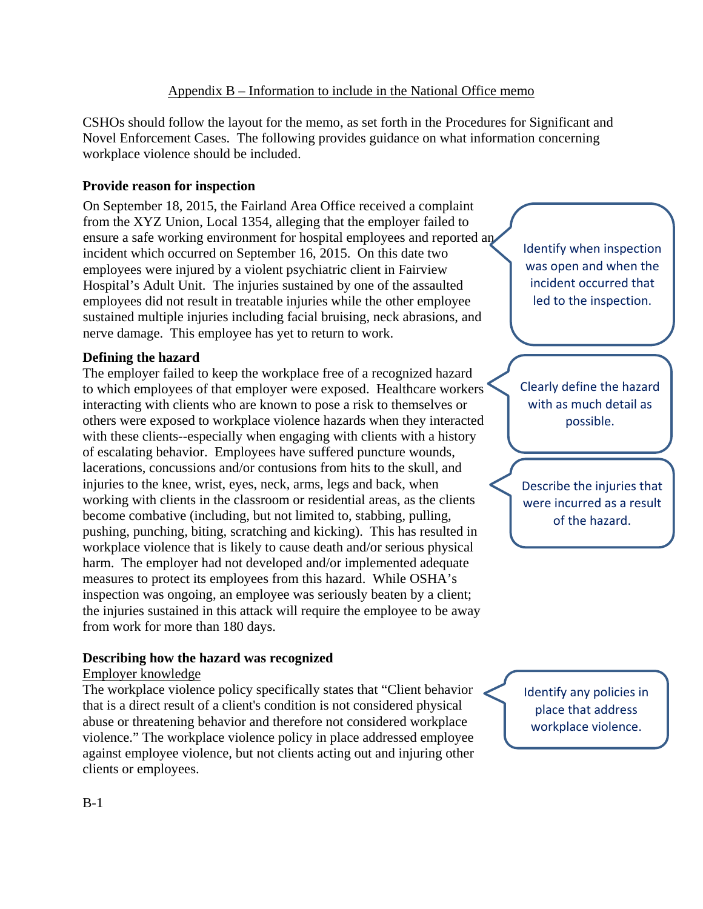# Appendix B – Information to include in the National Office memo

CSHOs should follow the layout for the memo, as set forth in the Procedures for Significant and Novel Enforcement Cases. The following provides guidance on what information concerning workplace violence should be included.

# **Provide reason for inspection**

On September 18, 2015, the Fairland Area Office received a complaint from the XYZ Union, Local 1354, alleging that the employer failed to ensure a safe working environment for hospital employees and reported an incident which occurred on September 16, 2015. On this date two employees were injured by a violent psychiatric client in Fairview Hospital's Adult Unit. The injuries sustained by one of the assaulted employees did not result in treatable injuries while the other employee sustained multiple injuries including facial bruising, neck abrasions, and nerve damage. This employee has yet to return to work.

## **Defining the hazard**

The employer failed to keep the workplace free of a recognized hazard to which employees of that employer were exposed. Healthcare workers interacting with clients who are known to pose a risk to themselves or others were exposed to workplace violence hazards when they interacted with these clients--especially when engaging with clients with a history of escalating behavior. Employees have suffered puncture wounds, lacerations, concussions and/or contusions from hits to the skull, and injuries to the knee, wrist, eyes, neck, arms, legs and back, when working with clients in the classroom or residential areas, as the clients become combative (including, but not limited to, stabbing, pulling, pushing, punching, biting, scratching and kicking). This has resulted in workplace violence that is likely to cause death and/or serious physical harm. The employer had not developed and/or implemented adequate measures to protect its employees from this hazard. While OSHA's inspection was ongoing, an employee was seriously beaten by a client; the injuries sustained in this attack will require the employee to be away from work for more than 180 days.

# **Describing how the hazard was recognized**

#### Employer knowledge

The workplace violence policy specifically states that "Client behavior that is a direct result of a client's condition is not considered physical abuse or threatening behavior and therefore not considered workplace violence." The workplace violence policy in place addressed employee against employee violence, but not clients acting out and injuring other clients or employees.

Identify when inspection was open and when the incident occurred that led to the inspection.

Clearly define the hazard with as much detail as possible.

Describe the injuries that were incurred as a result of the hazard.

Identify any policies in place that address workplace violence.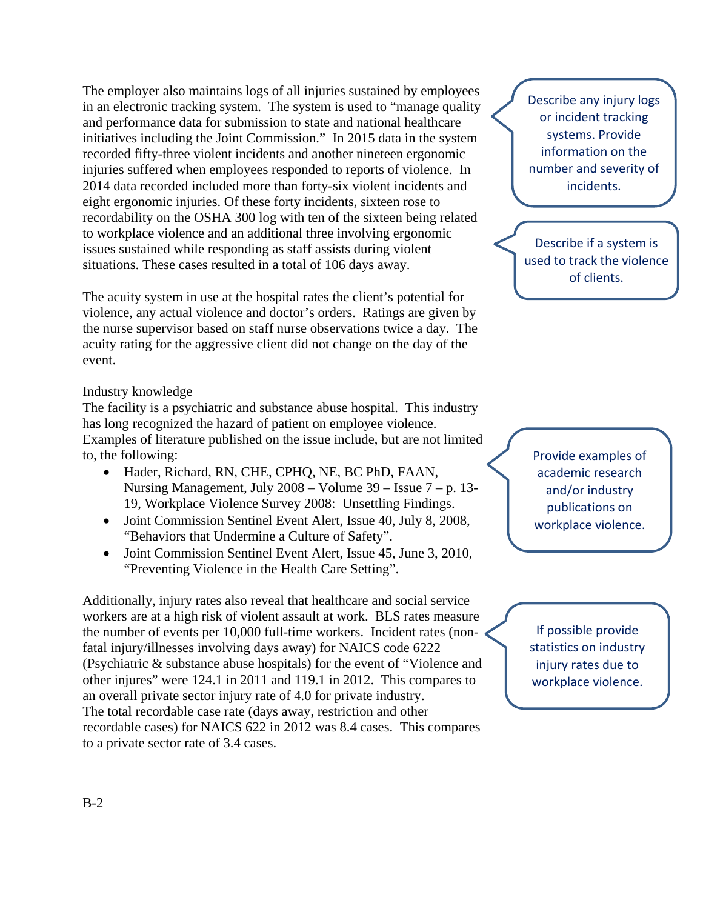The employer also maintains logs of all injuries sustained by employees in an electronic tracking system. The system is used to "manage quality and performance data for submission to state and national healthcare initiatives including the Joint Commission." In 2015 data in the system recorded fifty-three violent incidents and another nineteen ergonomic injuries suffered when employees responded to reports of violence. In 2014 data recorded included more than forty-six violent incidents and eight ergonomic injuries. Of these forty incidents, sixteen rose to recordability on the OSHA 300 log with ten of the sixteen being related to workplace violence and an additional three involving ergonomic issues sustained while responding as staff assists during violent situations. These cases resulted in a total of 106 days away.

The acuity system in use at the hospital rates the client's potential for violence, any actual violence and doctor's orders. Ratings are given by the nurse supervisor based on staff nurse observations twice a day. The acuity rating for the aggressive client did not change on the day of the event.

#### Industry knowledge

The facility is a psychiatric and substance abuse hospital. This industry has long recognized the hazard of patient on employee violence. Examples of literature published on the issue include, but are not limited to, the following:

- Hader, Richard, RN, CHE, CPHQ, NE, BC PhD, FAAN, Nursing Management, July 2008 – Volume 39 – Issue 7 – p. 13- 19, Workplace Violence Survey 2008: Unsettling Findings.
- Joint Commission Sentinel Event Alert, Issue 40, July 8, 2008, "Behaviors that Undermine a Culture of Safety".
- Joint Commission Sentinel Event Alert, Issue 45, June 3, 2010, "Preventing Violence in the Health Care Setting".

Additionally, injury rates also reveal that healthcare and social service workers are at a high risk of violent assault at work. BLS rates measure the number of events per 10,000 full-time workers. Incident rates (nonfatal injury/illnesses involving days away) for NAICS code 6222 (Psychiatric & substance abuse hospitals) for the event of "Violence and other injures" were 124.1 in 2011 and 119.1 in 2012. This compares to an overall private sector injury rate of 4.0 for private industry. The total recordable case rate (days away, restriction and other recordable cases) for NAICS 622 in 2012 was 8.4 cases. This compares to a private sector rate of 3.4 cases.

Describe any injury logs or incident tracking systems. Provide information on the number and severity of incidents.

Describe if a system is used to track the violence of clients.

Provide examples of academic research and/or industry publications on workplace violence.

If possible provide statistics on industry injury rates due to workplace violence.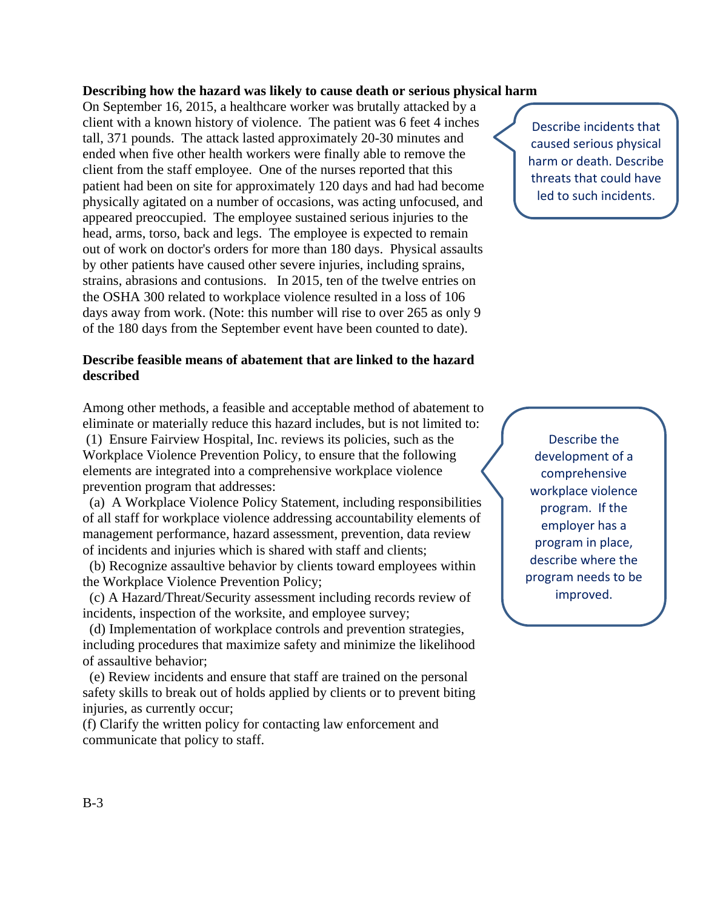#### **Describing how the hazard was likely to cause death or serious physical harm**

On September 16, 2015, a healthcare worker was brutally attacked by a client with a known history of violence. The patient was 6 feet 4 inches tall, 371 pounds. The attack lasted approximately 20-30 minutes and ended when five other health workers were finally able to remove the client from the staff employee. One of the nurses reported that this patient had been on site for approximately 120 days and had had become physically agitated on a number of occasions, was acting unfocused, and appeared preoccupied. The employee sustained serious injuries to the head, arms, torso, back and legs. The employee is expected to remain out of work on doctor's orders for more than 180 days. Physical assaults by other patients have caused other severe injuries, including sprains, strains, abrasions and contusions. In 2015, ten of the twelve entries on the OSHA 300 related to workplace violence resulted in a loss of 106 days away from work. (Note: this number will rise to over 265 as only 9 of the 180 days from the September event have been counted to date).

#### **Describe feasible means of abatement that are linked to the hazard described**

Among other methods, a feasible and acceptable method of abatement to eliminate or materially reduce this hazard includes, but is not limited to:

(1) Ensure Fairview Hospital, Inc. reviews its policies, such as the Workplace Violence Prevention Policy, to ensure that the following elements are integrated into a comprehensive workplace violence prevention program that addresses:

 (a) A Workplace Violence Policy Statement, including responsibilities of all staff for workplace violence addressing accountability elements of management performance, hazard assessment, prevention, data review of incidents and injuries which is shared with staff and clients;

 (b) Recognize assaultive behavior by clients toward employees within the Workplace Violence Prevention Policy;

 (c) A Hazard/Threat/Security assessment including records review of incidents, inspection of the worksite, and employee survey;

 (d) Implementation of workplace controls and prevention strategies, including procedures that maximize safety and minimize the likelihood of assaultive behavior;

 (e) Review incidents and ensure that staff are trained on the personal safety skills to break out of holds applied by clients or to prevent biting injuries, as currently occur;

(f) Clarify the written policy for contacting law enforcement and communicate that policy to staff.

Describe incidents that caused serious physical harm or death. Describe threats that could have led to such incidents.

Describe the development of a comprehensive workplace violence program. If the employer has a program in place, describe where the program needs to be improved.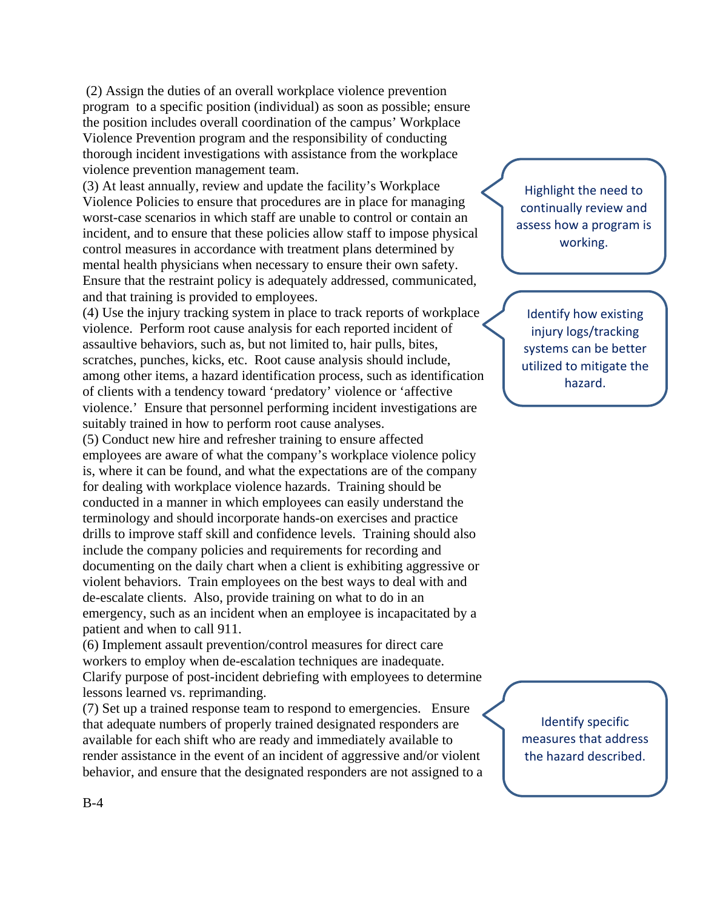(2) Assign the duties of an overall workplace violence prevention program to a specific position (individual) as soon as possible; ensure the position includes overall coordination of the campus' Workplace Violence Prevention program and the responsibility of conducting thorough incident investigations with assistance from the workplace violence prevention management team.

(3) At least annually, review and update the facility's Workplace Violence Policies to ensure that procedures are in place for managing worst-case scenarios in which staff are unable to control or contain an incident, and to ensure that these policies allow staff to impose physical control measures in accordance with treatment plans determined by mental health physicians when necessary to ensure their own safety. Ensure that the restraint policy is adequately addressed, communicated, and that training is provided to employees.

(4) Use the injury tracking system in place to track reports of workplace violence. Perform root cause analysis for each reported incident of assaultive behaviors, such as, but not limited to, hair pulls, bites, scratches, punches, kicks, etc. Root cause analysis should include, among other items, a hazard identification process, such as identification of clients with a tendency toward 'predatory' violence or 'affective violence.' Ensure that personnel performing incident investigations are suitably trained in how to perform root cause analyses.

(5) Conduct new hire and refresher training to ensure affected employees are aware of what the company's workplace violence policy is, where it can be found, and what the expectations are of the company for dealing with workplace violence hazards. Training should be conducted in a manner in which employees can easily understand the terminology and should incorporate hands-on exercises and practice drills to improve staff skill and confidence levels. Training should also include the company policies and requirements for recording and documenting on the daily chart when a client is exhibiting aggressive or violent behaviors. Train employees on the best ways to deal with and de-escalate clients. Also, provide training on what to do in an emergency, such as an incident when an employee is incapacitated by a patient and when to call 911.

(6) Implement assault prevention/control measures for direct care workers to employ when de-escalation techniques are inadequate. Clarify purpose of post-incident debriefing with employees to determine lessons learned vs. reprimanding.

(7) Set up a trained response team to respond to emergencies. Ensure that adequate numbers of properly trained designated responders are available for each shift who are ready and immediately available to render assistance in the event of an incident of aggressive and/or violent behavior, and ensure that the designated responders are not assigned to a

Highlight the need to continually review and assess how a program is working.

Identify how existing injury logs/tracking systems can be better utilized to mitigate the hazard.

Identify specific measures that address the hazard described.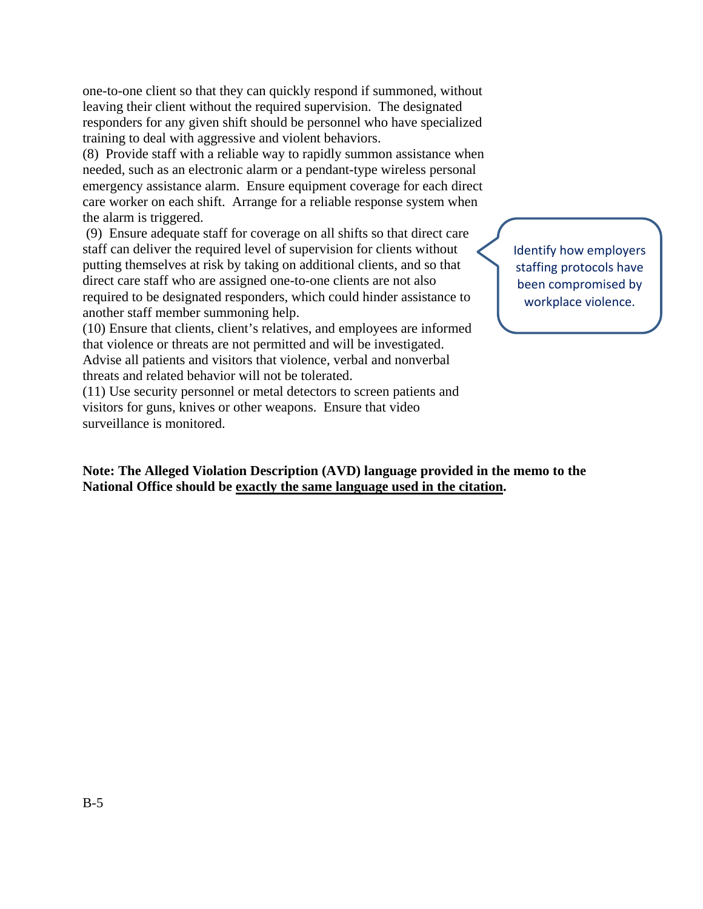one-to-one client so that they can quickly respond if summoned, without leaving their client without the required supervision. The designated responders for any given shift should be personnel who have specialized training to deal with aggressive and violent behaviors.

(8) Provide staff with a reliable way to rapidly summon assistance when needed, such as an electronic alarm or a pendant-type wireless personal emergency assistance alarm. Ensure equipment coverage for each direct care worker on each shift. Arrange for a reliable response system when the alarm is triggered.

(9) Ensure adequate staff for coverage on all shifts so that direct care staff can deliver the required level of supervision for clients without putting themselves at risk by taking on additional clients, and so that direct care staff who are assigned one-to-one clients are not also required to be designated responders, which could hinder assistance to another staff member summoning help.

(10) Ensure that clients, client's relatives, and employees are informed that violence or threats are not permitted and will be investigated. Advise all patients and visitors that violence, verbal and nonverbal threats and related behavior will not be tolerated.

(11) Use security personnel or metal detectors to screen patients and visitors for guns, knives or other weapons. Ensure that video surveillance is monitored.

**Note: The Alleged Violation Description (AVD) language provided in the memo to the National Office should be exactly the same language used in the citation.**

Identify how employers staffing protocols have been compromised by workplace violence.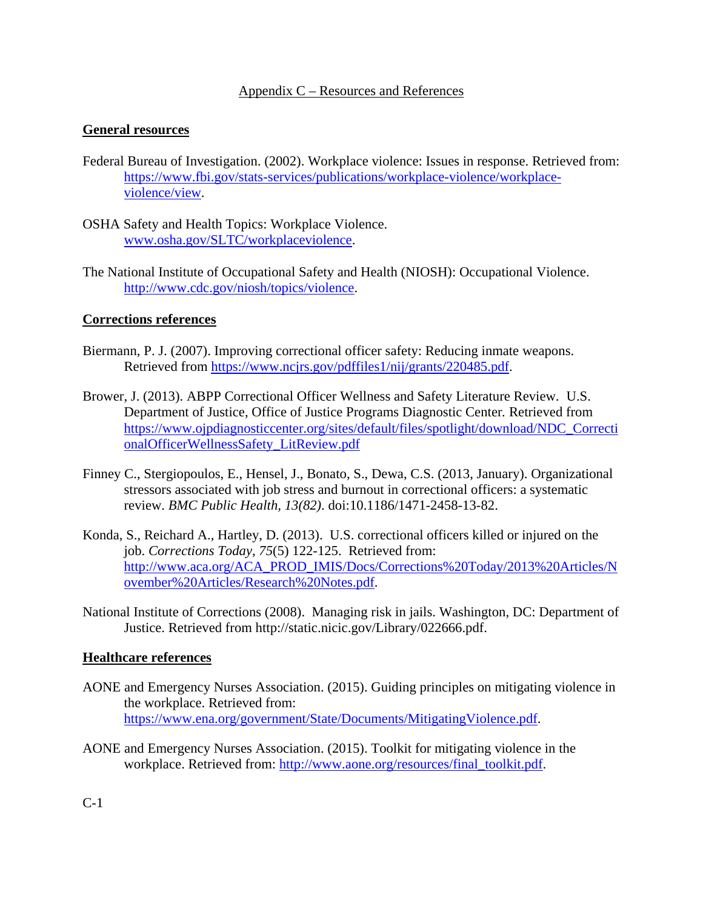#### Appendix C – Resources and References

# **General resources**

- Federal Bureau of Investigation. (2002). Workplace violence: Issues in response. Retrieved from: [https://www.fbi.gov/stats-services/publications/workplace-violence/workplace](https://www.fbi.gov/stats-services/publications/workplace-violence/workplace-violence/view)[violence/view.](https://www.fbi.gov/stats-services/publications/workplace-violence/workplace-violence/view)
- OSHA Safety and Health Topics: Workplace Violence. [www.osha.gov/SLTC/workplaceviolence.](http://www.osha.gov/SLTC/workplaceviolence)
- The National Institute of Occupational Safety and Health (NIOSH): Occupational Violence. [http://www.cdc.gov/niosh/topics/violence.](http://www.cdc.gov/niosh/topics/violence/)

## **Corrections references**

- Biermann, P. J. (2007). Improving correctional officer safety: Reducing inmate weapons. Retrieved from [https://www.ncjrs.gov/pdffiles1/nij/grants/220485.pdf.](https://www.ncjrs.gov/pdffiles1/nij/grants/220485.pdf)
- Brower, J. (2013). ABPP Correctional Officer Wellness and Safety Literature Review. U.S. Department of Justice, Office of Justice Programs Diagnostic Center*.* Retrieved from [https://www.ojpdiagnosticcenter.org/sites/default/files/spotlight/download/NDC\\_Correcti](https://www.ojpdiagnosticcenter.org/sites/default/files/spotlight/download/NDC_CorrectionalOfficerWellnessSafety_LitReview.pdf) [onalOfficerWellnessSafety\\_LitReview.pdf](https://www.ojpdiagnosticcenter.org/sites/default/files/spotlight/download/NDC_CorrectionalOfficerWellnessSafety_LitReview.pdf)
- [Finney C.](http://www.ncbi.nlm.nih.gov/pubmed/?term=Finney%20C%5BAuthor%5D&cauthor=true&cauthor_uid=23356379), [Stergiopoulos, E.](http://www.ncbi.nlm.nih.gov/pubmed/?term=Stergiopoulos%20E%5BAuthor%5D&cauthor=true&cauthor_uid=23356379), [Hensel, J.](http://www.ncbi.nlm.nih.gov/pubmed/?term=Hensel%20J%5BAuthor%5D&cauthor=true&cauthor_uid=23356379), [Bonato, S.](http://www.ncbi.nlm.nih.gov/pubmed/?term=Bonato%20S%5BAuthor%5D&cauthor=true&cauthor_uid=23356379), [Dewa, C.S.](http://www.ncbi.nlm.nih.gov/pubmed/?term=Dewa%20CS%5BAuthor%5D&cauthor=true&cauthor_uid=23356379) (2013, January). Organizational stressors associated with job stress and burnout in correctional officers: a systematic review. *BMC Public Health, 13(82)*. doi:10.1186/1471-2458-13-82.
- Konda, S., Reichard A., Hartley, D. (2013). U.S. correctional officers killed or injured on the job. *Corrections Today, 75*(5) 122-125. Retrieved from: [http://www.aca.org/ACA\\_PROD\\_IMIS/Docs/Corrections%20Today/2013%20Articles/N](http://www.aca.org/ACA_PROD_IMIS/Docs/Corrections%20Today/2013%20Articles/November%20Articles/Research%20Notes.pdf) [ovember%20Articles/Research%20Notes.pdf.](http://www.aca.org/ACA_PROD_IMIS/Docs/Corrections%20Today/2013%20Articles/November%20Articles/Research%20Notes.pdf)
- National Institute of Corrections (2008). Managing risk in jails. Washington, DC: Department of Justice. Retrieved from http://static.nicic.gov/Library/022666.pdf.

#### **Healthcare references**

- AONE and Emergency Nurses Association. (2015). Guiding principles on mitigating violence in the workplace. Retrieved from: [https://www.ena.org/government/State/Documents/MitigatingViolence.pdf.](https://www.ena.org/government/State/Documents/MitigatingViolence.pdf)
- AONE and Emergency Nurses Association. (2015). Toolkit for mitigating violence in the workplace. Retrieved from: [http://www.aone.org/resources/final\\_toolkit.pdf.](http://www.aone.org/resources/final_toolkit.pdf)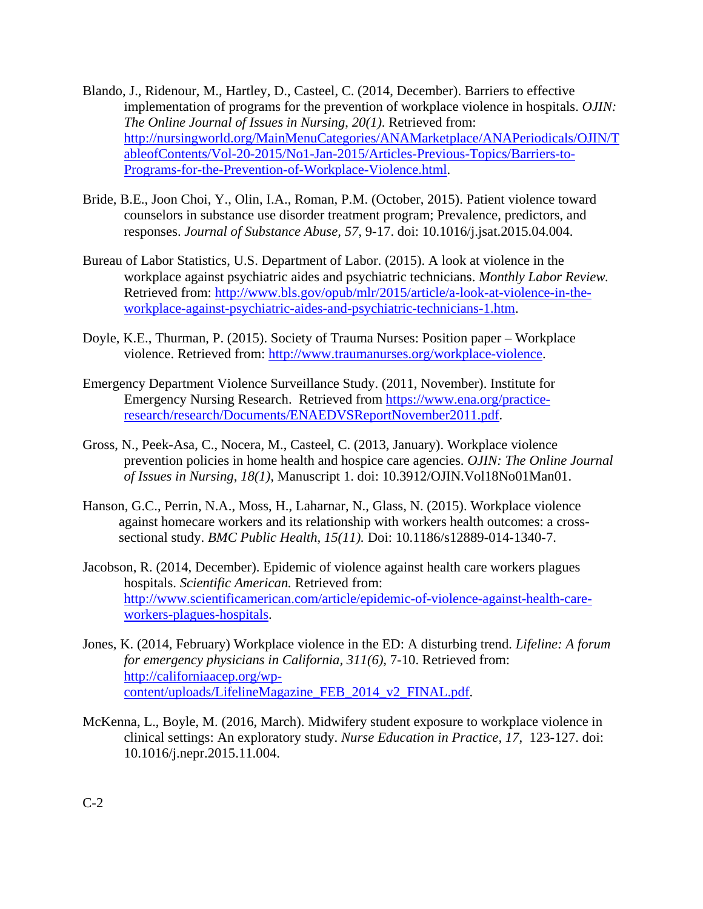- Blando, J., Ridenour, M., Hartley, D., Casteel, C. (2014, December). Barriers to effective implementation of programs for the prevention of workplace violence in hospitals. *OJIN: The Online Journal of Issues in Nursing*, *20(1)*. Retrieved from: [http://nursingworld.org/MainMenuCategories/ANAMarketplace/ANAPeriodicals/OJIN/T](http://nursingworld.org/MainMenuCategories/ANAMarketplace/ANAPeriodicals/OJIN/TableofContents/Vol-20-2015/No1-Jan-2015/Articles-Previous-Topics/Barriers-to-Programs-for-the-Prevention-of-Workplace-Violence.html) [ableofContents/Vol-20-2015/No1-Jan-2015/Articles-Previous-Topics/Barriers-to-](http://nursingworld.org/MainMenuCategories/ANAMarketplace/ANAPeriodicals/OJIN/TableofContents/Vol-20-2015/No1-Jan-2015/Articles-Previous-Topics/Barriers-to-Programs-for-the-Prevention-of-Workplace-Violence.html)[Programs-for-the-Prevention-of-Workplace-Violence.html.](http://nursingworld.org/MainMenuCategories/ANAMarketplace/ANAPeriodicals/OJIN/TableofContents/Vol-20-2015/No1-Jan-2015/Articles-Previous-Topics/Barriers-to-Programs-for-the-Prevention-of-Workplace-Violence.html)
- Bride, B.E., Joon Choi, Y., Olin, I.A., Roman, P.M. (October, 2015). Patient violence toward counselors in substance use disorder treatment program; Prevalence, predictors, and responses. *Journal of Substance Abuse, 57*, 9-17. doi: 10.1016/j.jsat.2015.04.004.
- Bureau of Labor Statistics, U.S. Department of Labor. (2015). A look at violence in the workplace against psychiatric aides and psychiatric technicians. *Monthly Labor Review.* Retrieved from: [http://www.bls.gov/opub/mlr/2015/article/a-look-at-violence-in-the](http://www.bls.gov/opub/mlr/2015/article/a-look-at-violence-in-the-workplace-against-psychiatric-aides-and-psychiatric-technicians-1.htm)[workplace-against-psychiatric-aides-and-psychiatric-technicians-1.htm.](http://www.bls.gov/opub/mlr/2015/article/a-look-at-violence-in-the-workplace-against-psychiatric-aides-and-psychiatric-technicians-1.htm)
- Doyle, K.E., Thurman, P. (2015). Society of Trauma Nurses: Position paper Workplace violence. Retrieved from: [http://www.traumanurses.org/workplace-violence.](http://www.traumanurses.org/workplace-violence)
- Emergency Department Violence Surveillance Study. (2011, November). Institute for Emergency Nursing Research. Retrieved from [https://www.ena.org/practice](https://www.ena.org/practice-research/research/Documents/ENAEDVSReportNovember2011.pdf)[research/research/Documents/ENAEDVSReportNovember2011.pdf.](https://www.ena.org/practice-research/research/Documents/ENAEDVSReportNovember2011.pdf)
- Gross, N., Peek-Asa, C., Nocera, M., Casteel, C. (2013, January). Workplace violence prevention policies in home health and hospice care agencies. *OJIN: The Online Journal of Issues in Nursing*, *18(1),* Manuscript 1. doi: 10.3912/OJIN.Vol18No01Man01.
- Hanson, G.C., Perrin, N.A., Moss, H., Laharnar, N., Glass, N. (2015). Workplace violence against homecare workers and its relationship with workers health outcomes: a crosssectional study. *BMC Public Health, 15(11).* Doi: 10.1186/s12889-014-1340-7.
- Jacobson, R. (2014, December). Epidemic of violence against health care workers plagues hospitals. *Scientific American.* Retrieved from: [http://www.scientificamerican.com/article/epidemic-of-violence-against-health-care](http://www.scientificamerican.com/article/epidemic-of-violence-against-health-care-workers-plagues-hospitals)[workers-plagues-hospitals.](http://www.scientificamerican.com/article/epidemic-of-violence-against-health-care-workers-plagues-hospitals)
- Jones, K. (2014, February) Workplace violence in the ED: A disturbing trend. *Lifeline: A forum for emergency physicians in California, 311(6),* 7-10. Retrieved from: [http://californiaacep.org/wp](http://californiaacep.org/wp-content/uploads/LifelineMagazine_FEB_2014_v2_FINAL.pdf)[content/uploads/LifelineMagazine\\_FEB\\_2014\\_v2\\_FINAL.pdf.](http://californiaacep.org/wp-content/uploads/LifelineMagazine_FEB_2014_v2_FINAL.pdf)
- McKenna, L., Boyle, M. (2016, March). Midwifery student exposure to workplace violence in clinical settings: An exploratory study. *Nurse Education in Practice, 17*, 123-127. doi: 10.1016/j.nepr.2015.11.004.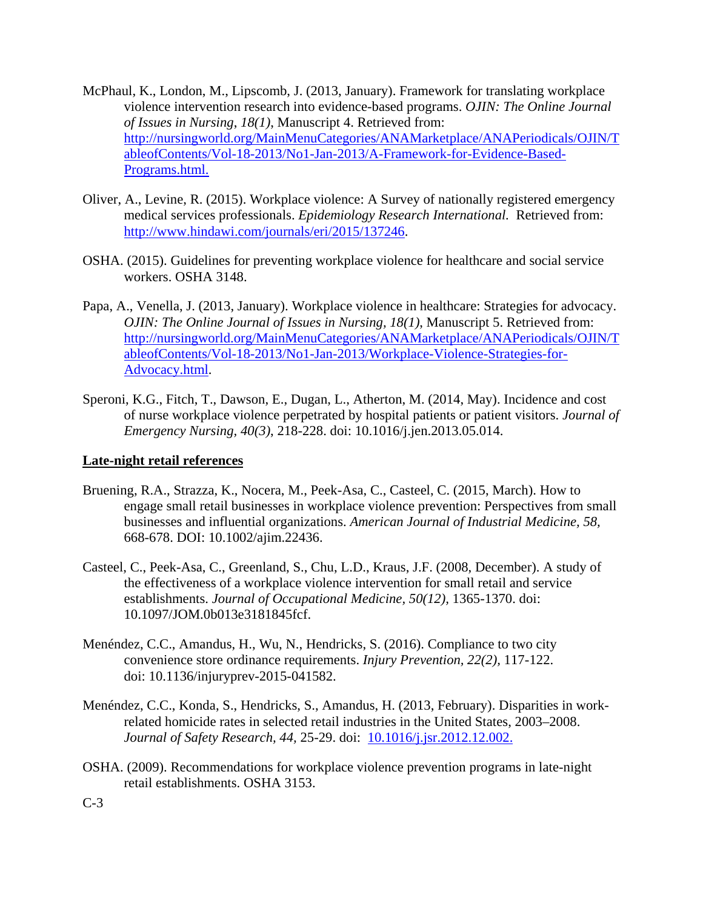- McPhaul, K., London, M., Lipscomb, J. (2013, January). Framework for translating workplace violence intervention research into evidence-based programs. *OJIN: The Online Journal of Issues in Nursing*, *18(1)*, Manuscript 4. Retrieved from: [http://nursingworld.org/MainMenuCategories/ANAMarketplace/ANAPeriodicals/OJIN/T](http://nursingworld.org/MainMenuCategories/ANAMarketplace/ANAPeriodicals/OJIN/TableofContents/Vol-18-2013/No1-Jan-2013/A-Framework-for-Evidence-Based-Programs.html) [ableofContents/Vol-18-2013/No1-Jan-2013/A-Framework-for-Evidence-Based-](http://nursingworld.org/MainMenuCategories/ANAMarketplace/ANAPeriodicals/OJIN/TableofContents/Vol-18-2013/No1-Jan-2013/A-Framework-for-Evidence-Based-Programs.html)[Programs.html.](http://nursingworld.org/MainMenuCategories/ANAMarketplace/ANAPeriodicals/OJIN/TableofContents/Vol-18-2013/No1-Jan-2013/A-Framework-for-Evidence-Based-Programs.html)
- Oliver, A., Levine, R. (2015). Workplace violence: A Survey of nationally registered emergency medical services professionals. *Epidemiology Research International.* Retrieved from: [http://www.hindawi.com/journals/eri/2015/137246.](http://www.hindawi.com/journals/eri/2015/137246)
- OSHA. (2015). Guidelines for preventing workplace violence for healthcare and social service workers. OSHA 3148.
- Papa, A., Venella, J. (2013, January). Workplace violence in healthcare: Strategies for advocacy. *OJIN: The Online Journal of Issues in Nursing, 18(1)*, Manuscript 5. Retrieved from: [http://nursingworld.org/MainMenuCategories/ANAMarketplace/ANAPeriodicals/OJIN/T](http://nursingworld.org/MainMenuCategories/ANAMarketplace/ANAPeriodicals/OJIN/TableofContents/Vol-18-2013/No1-Jan-2013/Workplace-Violence-Strategies-for-Advocacy.html) [ableofContents/Vol-18-2013/No1-Jan-2013/Workplace-Violence-Strategies-for-](http://nursingworld.org/MainMenuCategories/ANAMarketplace/ANAPeriodicals/OJIN/TableofContents/Vol-18-2013/No1-Jan-2013/Workplace-Violence-Strategies-for-Advocacy.html)[Advocacy.html.](http://nursingworld.org/MainMenuCategories/ANAMarketplace/ANAPeriodicals/OJIN/TableofContents/Vol-18-2013/No1-Jan-2013/Workplace-Violence-Strategies-for-Advocacy.html)
- Speroni, K.G., Fitch, T., Dawson, E., Dugan, L., Atherton, M. (2014, May). Incidence and cost of nurse workplace violence perpetrated by hospital patients or patient visitors. *Journal of Emergency Nursing, 40(3)*, 218-228. doi: 10.1016/j.jen.2013.05.014.

#### **Late-night retail references**

- Bruening, R.A., Strazza, K., Nocera, M., Peek-Asa, C., Casteel, C. (2015, March). How to engage small retail businesses in workplace violence prevention: Perspectives from small businesses and influential organizations. *American Journal of Industrial Medicine, 58,*  668-678. DOI: 10.1002/ajim.22436.
- Casteel, C., Peek-Asa, C., Greenland, S., Chu, L.D., Kraus, J.F. (2008, December). A study of the effectiveness of a workplace violence intervention for small retail and service establishments. *Journal of Occupational Medicine, 50(12),* 1365-1370. doi: 10.1097/JOM.0b013e3181845fcf.
- Menéndez, C.C., Amandus, H., Wu, N., Hendricks, S. (2016). Compliance to two city convenience store ordinance requirements. *Injury Prevention, 22(2),* 117-122. doi: 10.1136/injuryprev-2015-041582.
- Menéndez, C.C., Konda, S., Hendricks, S., Amandus, H. (2013, February). Disparities in workrelated homicide rates in selected retail industries in the United States, 2003–2008. *Journal of Safety Research, 44,* 25-29. doi: [10.1016/j.jsr.2012.12.002.](http://dx.doi.org/10.1016%2Fj.jsr.2012.12.002)
- OSHA. (2009). Recommendations for workplace violence prevention programs in late-night retail establishments. OSHA 3153.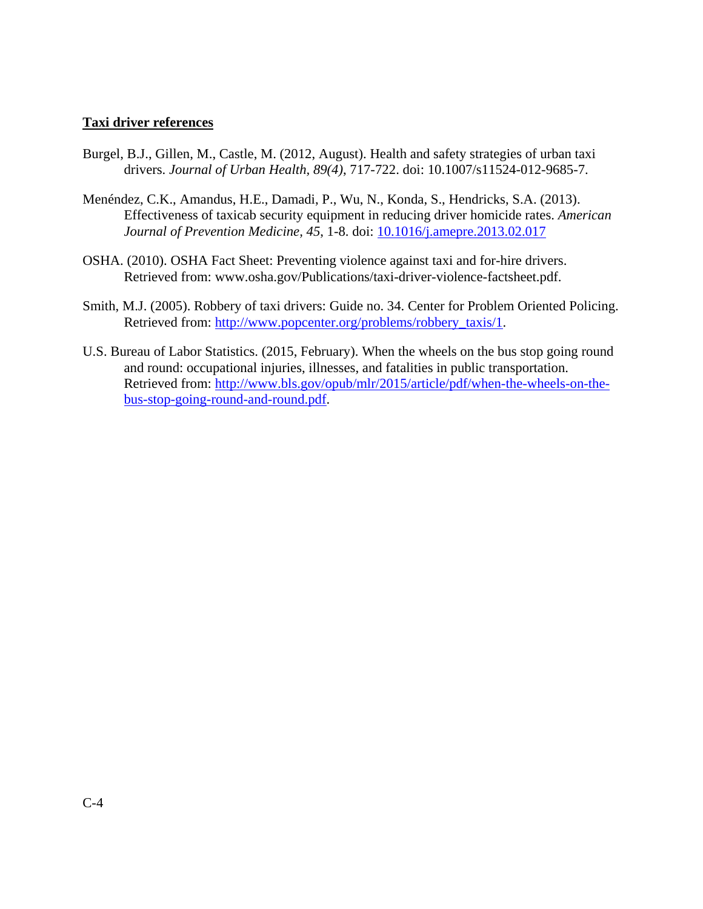#### **Taxi driver references**

- Burgel, B.J., Gillen, M., Castle, M. (2012, August). Health and safety strategies of urban taxi drivers. *Journal of Urban Health, 89(4)*, 717-722. doi: 10.1007/s11524-012-9685-7.
- Menéndez, C.K., Amandus, H.E., Damadi, P., Wu, N., Konda, S., Hendricks, S.A. (2013). Effectiveness of taxicab security equipment in reducing driver homicide rates. *American Journal of Prevention Medicine, 45*, 1-8. doi: [10.1016/j.amepre.2013.02.017](http://dx.doi.org/10.1016%2Fj.amepre.2013.02.017)
- OSHA. (2010). OSHA Fact Sheet: Preventing violence against taxi and for-hire drivers. Retrieved from: www.osha.gov/Publications/taxi-driver-violence-factsheet.pdf.
- Smith, M.J. (2005). Robbery of taxi drivers: Guide no. 34. Center for Problem Oriented Policing. Retrieved from: [http://www.popcenter.org/problems/robbery\\_taxis/1.](http://www.popcenter.org/problems/robbery_taxis/1)
- U.S. Bureau of Labor Statistics. (2015, February). When the wheels on the bus stop going round and round: occupational injuries, illnesses, and fatalities in public transportation. Retrieved from: [http://www.bls.gov/opub/mlr/2015/article/pdf/when-the-wheels-on-the](http://www.bls.gov/opub/mlr/2015/article/pdf/when-the-wheels-on-the-bus-stop-going-round-and-round.pdf)[bus-stop-going-round-and-round.pdf.](http://www.bls.gov/opub/mlr/2015/article/pdf/when-the-wheels-on-the-bus-stop-going-round-and-round.pdf)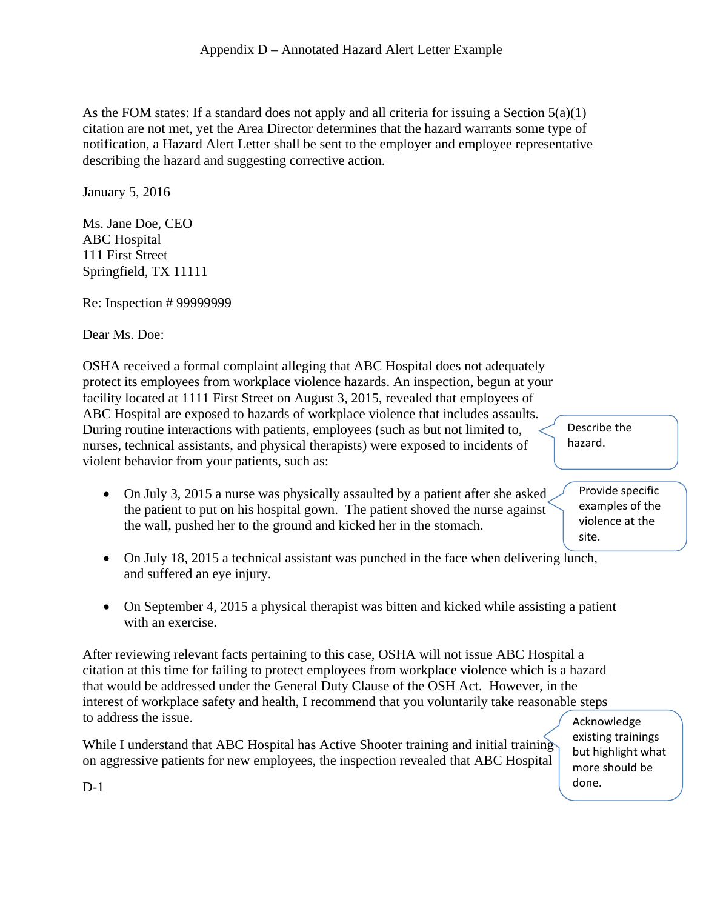As the FOM states: If a standard does not apply and all criteria for issuing a Section 5(a)(1) citation are not met, yet the Area Director determines that the hazard warrants some type of notification, a Hazard Alert Letter shall be sent to the employer and employee representative describing the hazard and suggesting corrective action.

January 5, 2016

Ms. Jane Doe, CEO ABC Hospital 111 First Street Springfield, TX 11111

Re: Inspection # 99999999

Dear Ms. Doe:

OSHA received a formal complaint alleging that ABC Hospital does not adequately protect its employees from workplace violence hazards. An inspection, begun at your facility located at 1111 First Street on August 3, 2015, revealed that employees of ABC Hospital are exposed to hazards of workplace violence that includes assaults. During routine interactions with patients, employees (such as but not limited to, nurses, technical assistants, and physical therapists) were exposed to incidents of violent behavior from your patients, such as:

Describe the<br>hazard. hazard.

examples of the<br>violence at the

site.

Provide specific examples of the

- On July 3, 2015 a nurse was physically assaulted by a patient after she asked the patient to put on his hospital gown. The patient shoved the nurse against the wall, pushed her to the ground and kicked her in the stomach.
- On July 18, 2015 a technical assistant was punched in the face when delivering lunch, and suffered an eye injury.
- On September 4, 2015 a physical therapist was bitten and kicked while assisting a patient with an exercise.

After reviewing relevant facts pertaining to this case, OSHA will not issue ABC Hospital a citation at this time for failing to protect employees from workplace violence which is a hazard that would be addressed under the General Duty Clause of the OSH Act. However, in the interest of workplace safety and health, I recommend that you voluntarily take reasonable steps to address the issue.

While I understand that ABC Hospital has Active Shooter training and initial training on aggressive patients for new employees, the inspection revealed that ABC Hospital

Proving a mange<br>but highlight what<br>more should be Acknowledge existing trainings more should be done.

D-1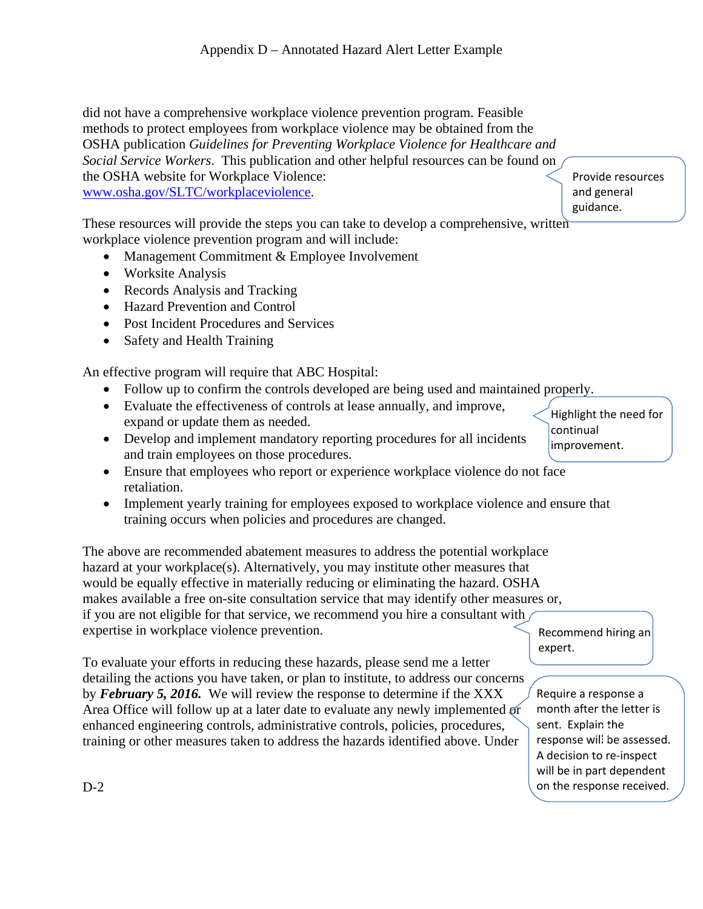did not have a comprehensive workplace violence prevention program. Feasible methods to protect employees from workplace violence may be obtained from the OSHA publication *Guidelines for Preventing Workplace Violence for Healthcare and Social Service Workers*. This publication and other helpful resources can be found on the OSHA website for Workplace Violence: [www.osha.gov/SLTC/workplaceviolence.](http://www.osha.gov/SLTC/workplaceviolence)

Provi and general Provide resources guidance.

Highlight the need for<br>continual<br>innassement

continual improvement.

These resources will provide the steps you can take to develop a comprehensive, written workplace violence prevention program and will include:

- Management Commitment & Employee Involvement
- Worksite Analysis
- Records Analysis and Tracking
- Hazard Prevention and Control
- Post Incident Procedures and Services
- Safety and Health Training

An effective program will require that ABC Hospital:

- Follow up to confirm the controls developed are being used and maintained properly.
- Evaluate the effectiveness of controls at lease annually, and improve, expand or update them as needed.
- Develop and implement mandatory reporting procedures for all incidents and train employees on those procedures.
- Ensure that employees who report or experience workplace violence do not face retaliation.
- Implement yearly training for employees exposed to workplace violence and ensure that training occurs when policies and procedures are changed.

The above are recommended abatement measures to address the potential workplace hazard at your workplace(s). Alternatively, you may institute other measures that would be equally effective in materially reducing or eliminating the hazard. OSHA makes available a free on-site consultation service that may identify other measures or, if you are not eligible for that service, we recommend you hire a consultant with  $\alpha$ expertise in workplace violence prevention.

Recommend hiring an expert.

Require a response a month after the letter is sent. Explain the response will be assessed. A decision to re-inspect will be in part dependent Recommend hiring an<br>
expert.<br> **Conceived.** Provided.<br>
Require a response a<br>
month after the letter is<br>
sent. Explain the<br>
response will be assessed.<br>
A decision to re-inspect<br>
will be in part dependent<br>
on the response rec

To evaluate your efforts in reducing these hazards, please send me a letter detailing the actions you have taken, or plan to institute, to address our concerns by *February 5, 2016.* We will review the response to determine if the XXX Area Office will follow up at a later date to evaluate any newly implemented or enhanced engineering controls, administrative controls, policies, procedures, training or other measures taken to address the hazards identified above. Under